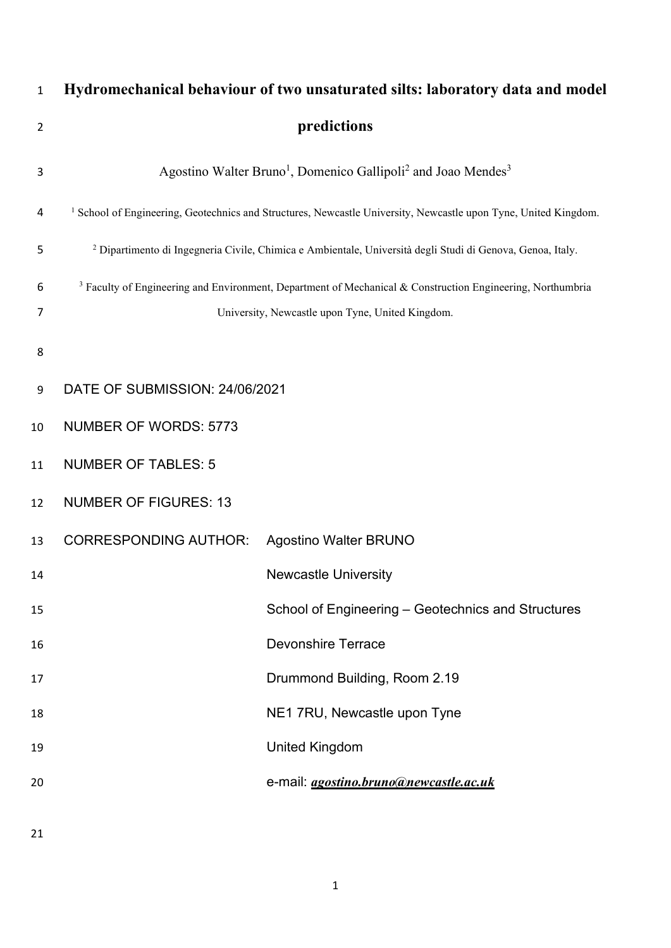| 1              |                                | Hydromechanical behaviour of two unsaturated silts: laboratory data and model                                              |  |  |  |
|----------------|--------------------------------|----------------------------------------------------------------------------------------------------------------------------|--|--|--|
| $\overline{2}$ | predictions                    |                                                                                                                            |  |  |  |
| 3              |                                | Agostino Walter Bruno <sup>1</sup> , Domenico Gallipoli <sup>2</sup> and Joao Mendes <sup>3</sup>                          |  |  |  |
| 4              |                                | <sup>1</sup> School of Engineering, Geotechnics and Structures, Newcastle University, Newcastle upon Tyne, United Kingdom. |  |  |  |
| 5              |                                | <sup>2</sup> Dipartimento di Ingegneria Civile, Chimica e Ambientale, Università degli Studi di Genova, Genoa, Italy.      |  |  |  |
| 6              |                                | <sup>3</sup> Faculty of Engineering and Environment, Department of Mechanical & Construction Engineering, Northumbria      |  |  |  |
| 7              |                                | University, Newcastle upon Tyne, United Kingdom.                                                                           |  |  |  |
| 8              |                                |                                                                                                                            |  |  |  |
| 9              | DATE OF SUBMISSION: 24/06/2021 |                                                                                                                            |  |  |  |
| 10             | <b>NUMBER OF WORDS: 5773</b>   |                                                                                                                            |  |  |  |
| 11             | <b>NUMBER OF TABLES: 5</b>     |                                                                                                                            |  |  |  |
| 12             | <b>NUMBER OF FIGURES: 13</b>   |                                                                                                                            |  |  |  |
| 13             | <b>CORRESPONDING AUTHOR:</b>   | <b>Agostino Walter BRUNO</b>                                                                                               |  |  |  |
| 14             |                                | <b>Newcastle University</b>                                                                                                |  |  |  |
| 15             |                                | School of Engineering - Geotechnics and Structures                                                                         |  |  |  |
| 16             |                                | <b>Devonshire Terrace</b>                                                                                                  |  |  |  |
| 17             |                                | Drummond Building, Room 2.19                                                                                               |  |  |  |
| 18             |                                | NE1 7RU, Newcastle upon Tyne                                                                                               |  |  |  |
| 19             |                                | <b>United Kingdom</b>                                                                                                      |  |  |  |
| 20             |                                | e-mail: <i>agostino.bruno@newcastle.ac.uk</i>                                                                              |  |  |  |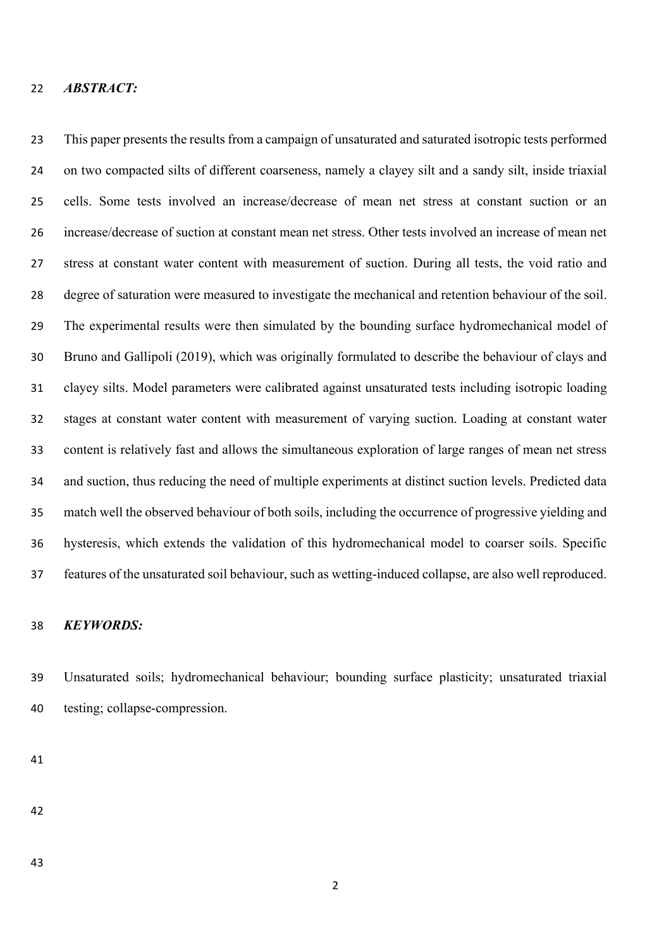### *ABSTRACT:*

 This paper presents the results from a campaign of unsaturated and saturated isotropic tests performed on two compacted silts of different coarseness, namely a clayey silt and a sandy silt, inside triaxial cells. Some tests involved an increase/decrease of mean net stress at constant suction or an increase/decrease of suction at constant mean net stress. Other tests involved an increase of mean net stress at constant water content with measurement of suction. During all tests, the void ratio and degree of saturation were measured to investigate the mechanical and retention behaviour of the soil. The experimental results were then simulated by the bounding surface hydromechanical model of Bruno and Gallipoli (2019), which was originally formulated to describe the behaviour of clays and clayey silts. Model parameters were calibrated against unsaturated tests including isotropic loading stages at constant water content with measurement of varying suction. Loading at constant water content is relatively fast and allows the simultaneous exploration of large ranges of mean net stress and suction, thus reducing the need of multiple experiments at distinct suction levels. Predicted data match well the observed behaviour of both soils, including the occurrence of progressive yielding and hysteresis, which extends the validation of this hydromechanical model to coarser soils. Specific features of the unsaturated soil behaviour, such as wetting-induced collapse, are also well reproduced.

# *KEYWORDS:*

 Unsaturated soils; hydromechanical behaviour; bounding surface plasticity; unsaturated triaxial testing; collapse-compression.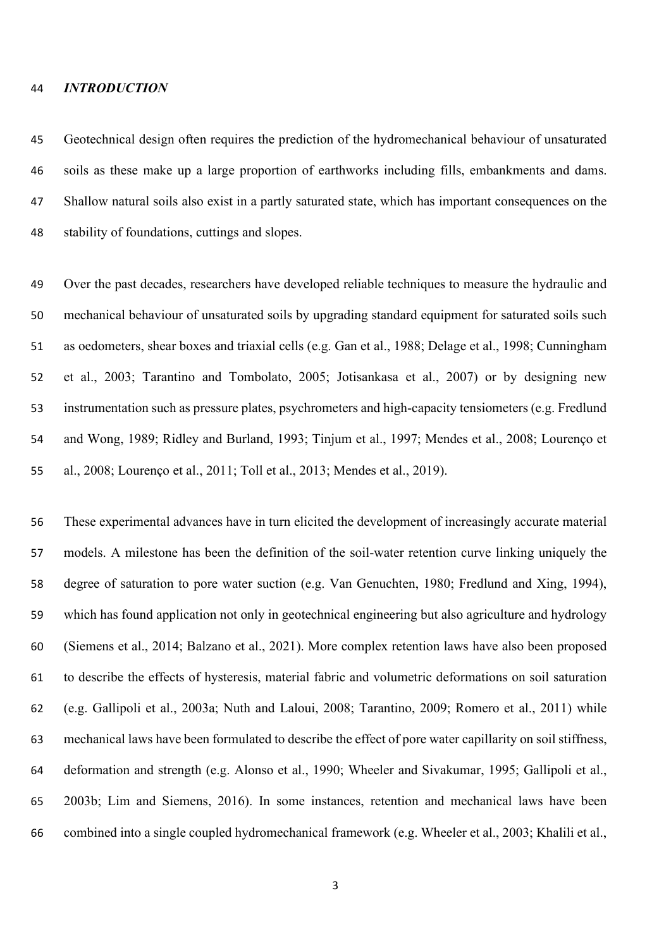#### *INTRODUCTION*

 Geotechnical design often requires the prediction of the hydromechanical behaviour of unsaturated soils as these make up a large proportion of earthworks including fills, embankments and dams. Shallow natural soils also exist in a partly saturated state, which has important consequences on the stability of foundations, cuttings and slopes.

 Over the past decades, researchers have developed reliable techniques to measure the hydraulic and mechanical behaviour of unsaturated soils by upgrading standard equipment for saturated soils such as oedometers, shear boxes and triaxial cells (e.g. Gan et al., 1988; Delage et al., 1998; Cunningham et al., 2003; Tarantino and Tombolato, 2005; Jotisankasa et al., 2007) or by designing new instrumentation such as pressure plates, psychrometers and high-capacity tensiometers (e.g. Fredlund and Wong, 1989; Ridley and Burland, 1993; Tinjum et al., 1997; Mendes et al., 2008; Lourenço et al., 2008; Lourenço et al., 2011; Toll et al., 2013; Mendes et al., 2019).

 These experimental advances have in turn elicited the development of increasingly accurate material models. A milestone has been the definition of the soil-water retention curve linking uniquely the degree of saturation to pore water suction (e.g. Van Genuchten, 1980; Fredlund and Xing, 1994), which has found application not only in geotechnical engineering but also agriculture and hydrology (Siemens et al., 2014; Balzano et al., 2021). More complex retention laws have also been proposed to describe the effects of hysteresis, material fabric and volumetric deformations on soil saturation (e.g. Gallipoli et al., 2003a; Nuth and Laloui, 2008; Tarantino, 2009; Romero et al., 2011) while mechanical laws have been formulated to describe the effect of pore water capillarity on soil stiffness, deformation and strength (e.g. Alonso et al., 1990; Wheeler and Sivakumar, 1995; Gallipoli et al., 2003b; Lim and Siemens, 2016). In some instances, retention and mechanical laws have been combined into a single coupled hydromechanical framework (e.g. Wheeler et al., 2003; Khalili et al.,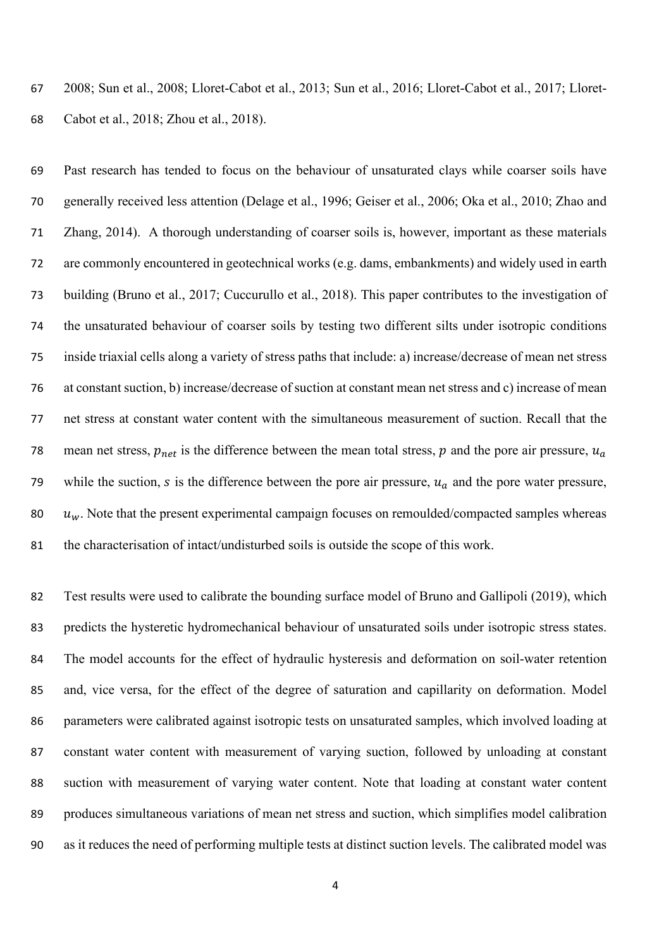2008; Sun et al., 2008; Lloret-Cabot et al., 2013; Sun et al., 2016; Lloret-Cabot et al., 2017; Lloret-Cabot et al., 2018; Zhou et al., 2018).

 Past research has tended to focus on the behaviour of unsaturated clays while coarser soils have generally received less attention (Delage et al., 1996; Geiser et al., 2006; Oka et al., 2010; Zhao and Zhang, 2014). A thorough understanding of coarser soils is, however, important as these materials are commonly encountered in geotechnical works (e.g. dams, embankments) and widely used in earth building (Bruno et al., 2017; Cuccurullo et al., 2018). This paper contributes to the investigation of the unsaturated behaviour of coarser soils by testing two different silts under isotropic conditions inside triaxial cells along a variety of stress paths that include: a) increase/decrease of mean net stress at constant suction, b) increase/decrease of suction at constant mean net stress and c) increase of mean net stress at constant water content with the simultaneous measurement of suction. Recall that the 78 mean net stress,  $p_{net}$  is the difference between the mean total stress,  $p$  and the pore air pressure,  $u_a$ 79 while the suction,  $s$  is the difference between the pore air pressure,  $u_a$  and the pore water pressure,  $u_w$ . Note that the present experimental campaign focuses on remoulded/compacted samples whereas the characterisation of intact/undisturbed soils is outside the scope of this work.

 Test results were used to calibrate the bounding surface model of Bruno and Gallipoli (2019), which predicts the hysteretic hydromechanical behaviour of unsaturated soils under isotropic stress states. The model accounts for the effect of hydraulic hysteresis and deformation on soil-water retention and, vice versa, for the effect of the degree of saturation and capillarity on deformation. Model parameters were calibrated against isotropic tests on unsaturated samples, which involved loading at constant water content with measurement of varying suction, followed by unloading at constant suction with measurement of varying water content. Note that loading at constant water content produces simultaneous variations of mean net stress and suction, which simplifies model calibration as it reduces the need of performing multiple tests at distinct suction levels. The calibrated model was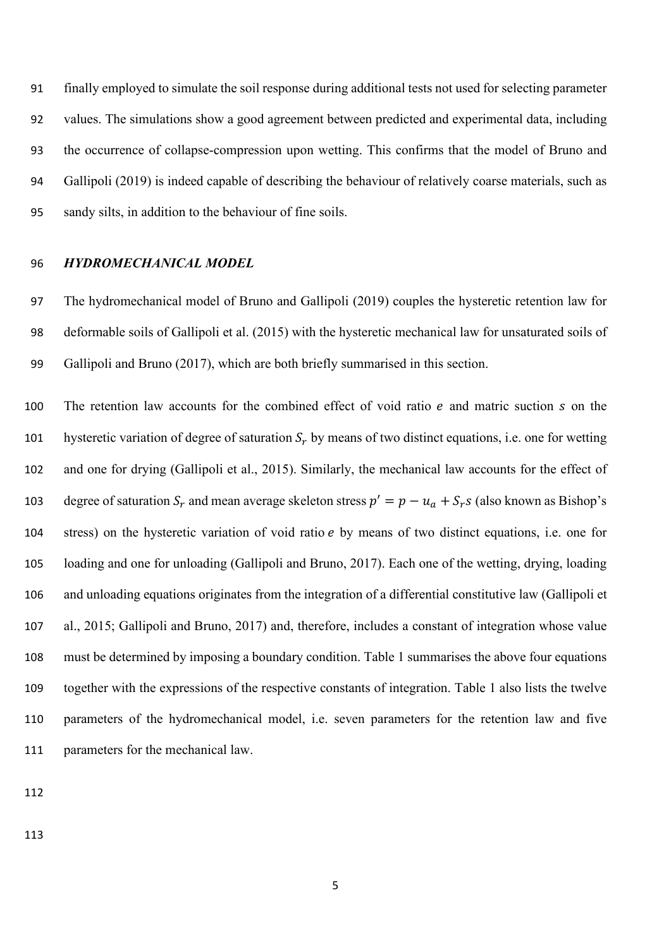finally employed to simulate the soil response during additional tests not used for selecting parameter values. The simulations show a good agreement between predicted and experimental data, including the occurrence of collapse-compression upon wetting. This confirms that the model of Bruno and Gallipoli (2019) is indeed capable of describing the behaviour of relatively coarse materials, such as sandy silts, in addition to the behaviour of fine soils.

#### *HYDROMECHANICAL MODEL*

 The hydromechanical model of Bruno and Gallipoli (2019) couples the hysteretic retention law for deformable soils of Gallipoli et al. (2015) with the hysteretic mechanical law for unsaturated soils of Gallipoli and Bruno (2017), which are both briefly summarised in this section.

100 The retention law accounts for the combined effect of void ratio  $e$  and matric suction  $s$  on the 101 hysteretic variation of degree of saturation  $S_r$  by means of two distinct equations, i.e. one for wetting and one for drying (Gallipoli et al., 2015). Similarly, the mechanical law accounts for the effect of 103 degree of saturation  $S_r$  and mean average skeleton stress  $p' = p - u_a + S_r s$  (also known as Bishop's 104 stress) on the hysteretic variation of void ratio *e* by means of two distinct equations, i.e. one for loading and one for unloading (Gallipoli and Bruno, 2017). Each one of the wetting, drying, loading and unloading equations originates from the integration of a differential constitutive law (Gallipoli et al., 2015; Gallipoli and Bruno, 2017) and, therefore, includes a constant of integration whose value must be determined by imposing a boundary condition. Table 1 summarises the above four equations together with the expressions of the respective constants of integration. Table 1 also lists the twelve parameters of the hydromechanical model, i.e. seven parameters for the retention law and five parameters for the mechanical law.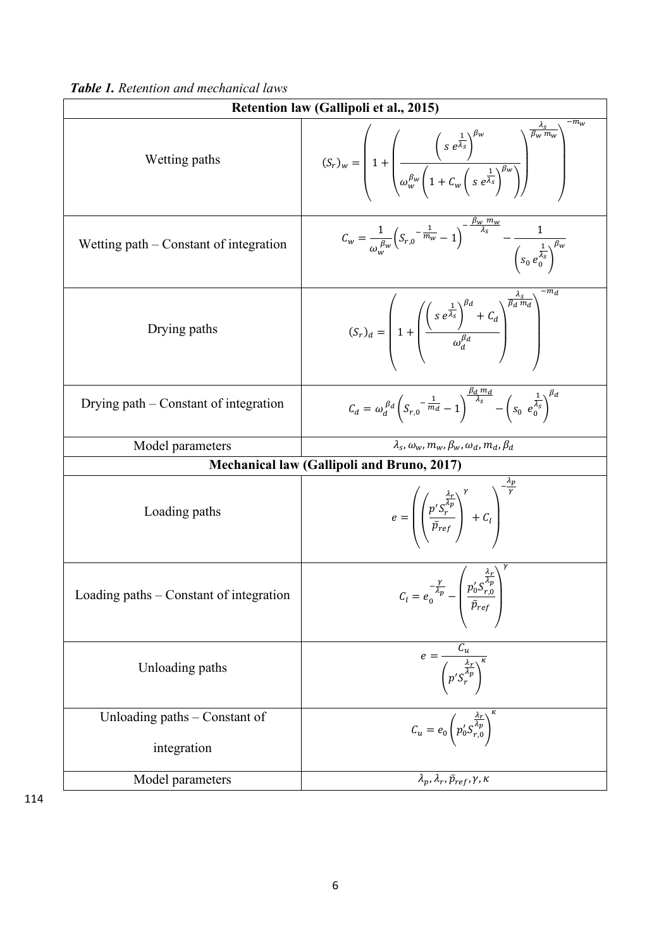|  |  |  | Table 1. Retention and mechanical laws |  |
|--|--|--|----------------------------------------|--|
|--|--|--|----------------------------------------|--|

| Retention law (Gallipoli et al., 2015)       |                                                                                                                                                                                                                                  |  |  |  |
|----------------------------------------------|----------------------------------------------------------------------------------------------------------------------------------------------------------------------------------------------------------------------------------|--|--|--|
| Wetting paths                                | $(S_r)_w = \left(1 + \left(\frac{\left(s e^{\frac{1}{\lambda_s}}\right)^{\beta_w}}{\omega_w^{\beta_w}\left(1 + C_w\left(s e^{\frac{1}{\lambda_s}}\right)^{\beta_w}\right)}\right)^{\frac{\Lambda_s}{\beta_w m_w}}\right)^{-m_s}$ |  |  |  |
| Wetting $path$ – Constant of integration     | $C_w = \frac{1}{\omega_w^{\beta_w}} \left( S_{r,0} - \frac{1}{m_w} - 1 \right)^{-\frac{\beta_w m_w}{\lambda_s}} - \frac{1}{\left( S_0 e_0^{\frac{1}{\lambda_s}} \right)^{\beta_w}}$                                              |  |  |  |
| Drying paths                                 | $(S_r)_d = \left(1 + \left(\frac{\left(s e^{\frac{1}{\lambda_s}}\right)^{\beta_d} + C_d}{\omega_d^{\beta_d}}\right)^{\frac{r_s}{\beta_d m_d}}\right)$                                                                            |  |  |  |
| Drying path $-$ Constant of integration      | $C_d = \omega_d^{\beta d} \left(S_{r,0} - \frac{1}{m_d} - 1\right)^{\frac{\beta d}{\lambda_s}} - \left(S_0 e_{0}^{\frac{1}{\lambda_s}}\right)^{\beta d}$                                                                         |  |  |  |
| Model parameters                             | $\lambda_s, \omega_w, m_w, \beta_w, \omega_d, m_d, \beta_d$                                                                                                                                                                      |  |  |  |
|                                              | <b>Mechanical law (Gallipoli and Bruno, 2017)</b>                                                                                                                                                                                |  |  |  |
| Loading paths                                | $e = \left( \left( \frac{p's_r^{\frac{\lambda_r}{\lambda_p}}}{\bar{p}_{ref}} \right)^r + C_l \right)^{\gamma}$                                                                                                                   |  |  |  |
| Loading paths $-$ Constant of integration    | $C_l = e_0^{-\frac{\gamma}{\lambda_p}} - \left(\frac{p_0^{\prime} S_{r,0}^{\frac{\lambda_r}{\lambda_p}}}{\pi}\right)$<br>$\bar{p}_{ref}$                                                                                         |  |  |  |
| Unloading paths                              | $e = \frac{C_u}{\left(p'\overline{\zeta_r^{\frac{\lambda_r}{\lambda_p}}}\right)}$                                                                                                                                                |  |  |  |
| Unloading paths - Constant of<br>integration | $C_u = e_0 \left( p'_0 S_{r,0}^{\frac{\lambda_r}{\lambda_p}} \right)^r$                                                                                                                                                          |  |  |  |
| Model parameters                             | $\lambda_p$ , $\lambda_r$ , $\bar{p}_{ref}$ , $\gamma$ , $\kappa$                                                                                                                                                                |  |  |  |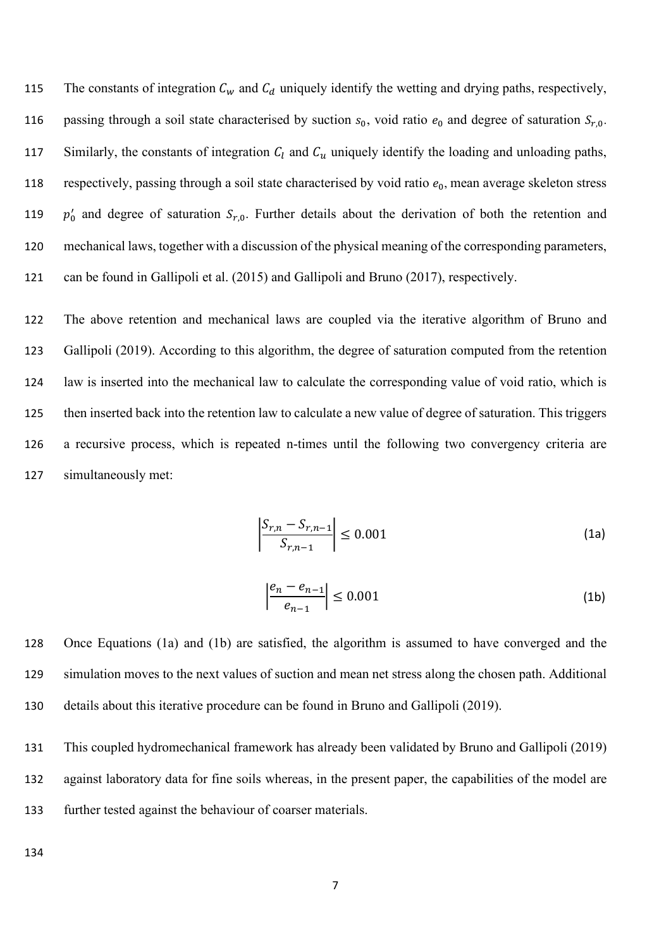115 The constants of integration  $C_w$  and  $C_d$  uniquely identify the wetting and drying paths, respectively, 116 passing through a soil state characterised by suction  $s_0$ , void ratio  $e_0$  and degree of saturation  $S_{r,0}$ . 117 Similarly, the constants of integration  $C_l$  and  $C_u$  uniquely identify the loading and unloading paths, 118 respectively, passing through a soil state characterised by void ratio  $e_0$ , mean average skeleton stress 119  $p'_0$  and degree of saturation  $S_{r,0}$ . Further details about the derivation of both the retention and 120 mechanical laws, together with a discussion of the physical meaning of the corresponding parameters, 121 can be found in Gallipoli et al. (2015) and Gallipoli and Bruno (2017), respectively.

 The above retention and mechanical laws are coupled via the iterative algorithm of Bruno and Gallipoli (2019). According to this algorithm, the degree of saturation computed from the retention law is inserted into the mechanical law to calculate the corresponding value of void ratio, which is then inserted back into the retention law to calculate a new value of degree of saturation. This triggers a recursive process, which is repeated n-times until the following two convergency criteria are simultaneously met:

$$
\left| \frac{S_{r,n} - S_{r,n-1}}{S_{r,n-1}} \right| \le 0.001 \tag{1a}
$$

$$
\left| \frac{e_n - e_{n-1}}{e_{n-1}} \right| \le 0.001 \tag{1b}
$$

128 Once Equations (1a) and (1b) are satisfied, the algorithm is assumed to have converged and the 129 simulation moves to the next values of suction and mean net stress along the chosen path. Additional 130 details about this iterative procedure can be found in Bruno and Gallipoli (2019).

131 This coupled hydromechanical framework has already been validated by Bruno and Gallipoli (2019) 132 against laboratory data for fine soils whereas, in the present paper, the capabilities of the model are 133 further tested against the behaviour of coarser materials.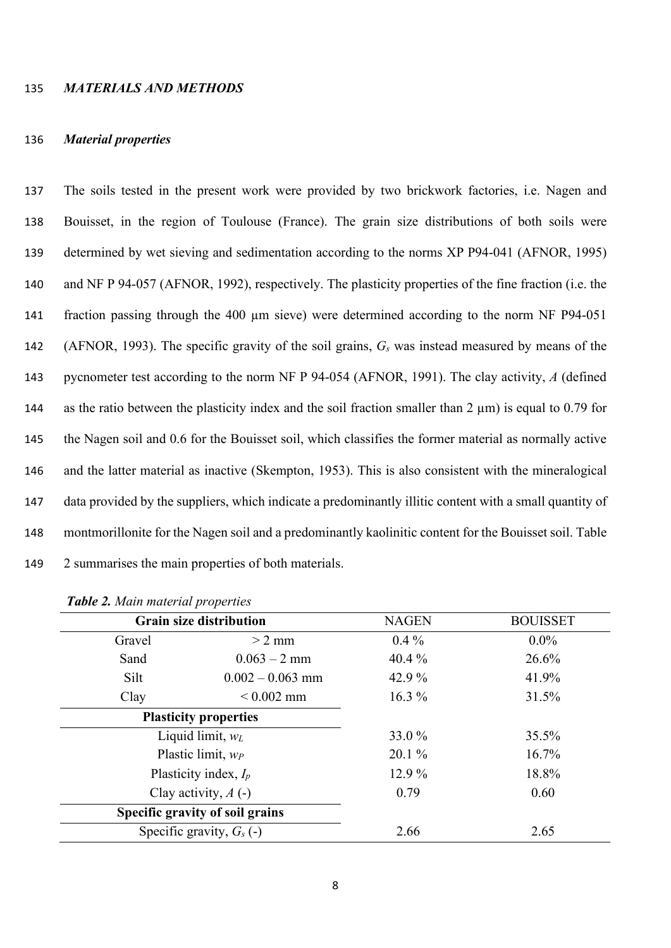#### 135 *MATERIALS AND METHODS*

#### 136 *Material properties*

 The soils tested in the present work were provided by two brickwork factories, i.e. Nagen and Bouisset, in the region of Toulouse (France). The grain size distributions of both soils were determined by wet sieving and sedimentation according to the norms XP P94-041 (AFNOR, 1995) and NF P 94-057 (AFNOR, 1992), respectively. The plasticity properties of the fine fraction (i.e. the fraction passing through the 400 µm sieve) were determined according to the norm NF P94-051 (AFNOR, 1993). The specific gravity of the soil grains, *Gs* was instead measured by means of the pycnometer test according to the norm NF P 94-054 (AFNOR, 1991). The clay activity, *A* (defined 144 as the ratio between the plasticity index and the soil fraction smaller than  $2 \mu m$ ) is equal to 0.79 for the Nagen soil and 0.6 for the Bouisset soil, which classifies the former material as normally active and the latter material as inactive (Skempton, 1953). This is also consistent with the mineralogical data provided by the suppliers, which indicate a predominantly illitic content with a small quantity of montmorillonite for the Nagen soil and a predominantly kaolinitic content for the Bouisset soil. Table 2 summarises the main properties of both materials.

|                      | <b>Grain size distribution</b>  | <b>NAGEN</b> | <b>BOUISSET</b> |  |       |
|----------------------|---------------------------------|--------------|-----------------|--|-------|
| Gravel               | $> 2$ mm                        | $0.4\%$      | $0.0\%$         |  |       |
| Sand                 | $0.063 - 2$ mm                  | 40.4 $%$     | 26.6%           |  |       |
| Silt                 | $0.002 - 0.063$ mm              | 42.9 %       | 41.9%           |  |       |
| Clay                 | $< 0.002$ mm                    | $16.3\%$     | 31.5%           |  |       |
|                      | <b>Plasticity properties</b>    |              |                 |  |       |
|                      | Liquid limit, $w_L$             | 33.0 %       | 35.5%           |  |       |
| Plastic limit, $w_P$ |                                 | $20.1\%$     | 16.7%           |  |       |
|                      | Plasticity index, $I_p$         |              | 12.9 %          |  | 18.8% |
|                      | Clay activity, $A(-)$           | 0.79         | 0.60            |  |       |
|                      | Specific gravity of soil grains |              |                 |  |       |
|                      | Specific gravity, $G_s$ (-)     | 2.66         | 2.65            |  |       |

*Table 2. Main material properties*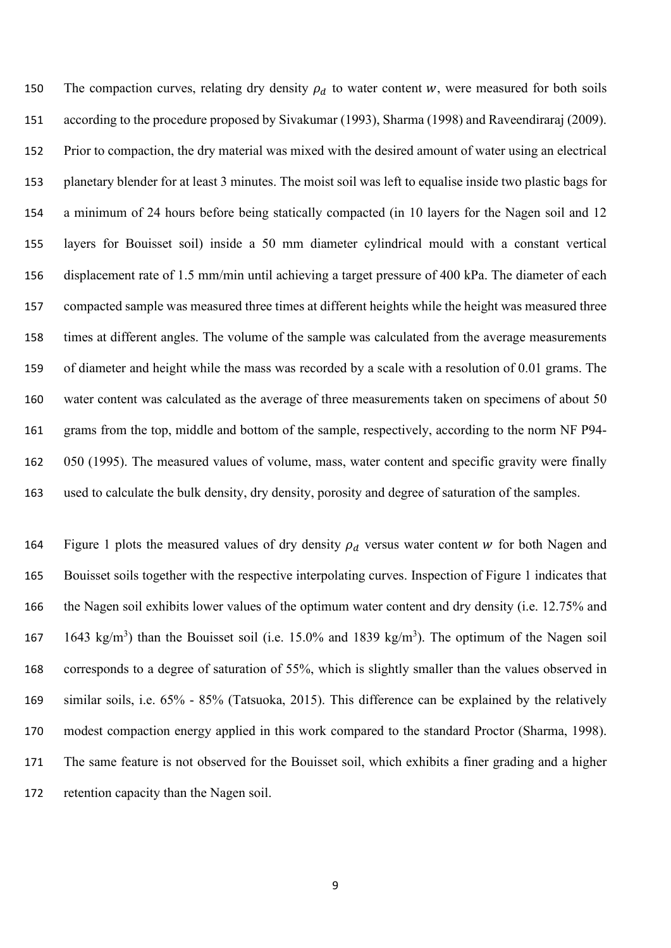150 The compaction curves, relating dry density  $\rho_d$  to water content w, were measured for both soils according to the procedure proposed by Sivakumar (1993), Sharma (1998) and Raveendiraraj (2009). Prior to compaction, the dry material was mixed with the desired amount of water using an electrical planetary blender for at least 3 minutes. The moist soil was left to equalise inside two plastic bags for a minimum of 24 hours before being statically compacted (in 10 layers for the Nagen soil and 12 layers for Bouisset soil) inside a 50 mm diameter cylindrical mould with a constant vertical displacement rate of 1.5 mm/min until achieving a target pressure of 400 kPa. The diameter of each compacted sample was measured three times at different heights while the height was measured three times at different angles. The volume of the sample was calculated from the average measurements of diameter and height while the mass was recorded by a scale with a resolution of 0.01 grams. The water content was calculated as the average of three measurements taken on specimens of about 50 grams from the top, middle and bottom of the sample, respectively, according to the norm NF P94- 050 (1995). The measured values of volume, mass, water content and specific gravity were finally used to calculate the bulk density, dry density, porosity and degree of saturation of the samples.

164 Figure 1 plots the measured values of dry density  $\rho_d$  versus water content w for both Nagen and Bouisset soils together with the respective interpolating curves. Inspection of Figure 1 indicates that the Nagen soil exhibits lower values of the optimum water content and dry density (i.e. 12.75% and 167 1643 kg/m<sup>3</sup>) than the Bouisset soil (i.e. 15.0% and 1839 kg/m<sup>3</sup>). The optimum of the Nagen soil corresponds to a degree of saturation of 55%, which is slightly smaller than the values observed in similar soils, i.e. 65% - 85% (Tatsuoka, 2015). This difference can be explained by the relatively modest compaction energy applied in this work compared to the standard Proctor (Sharma, 1998). The same feature is not observed for the Bouisset soil, which exhibits a finer grading and a higher retention capacity than the Nagen soil.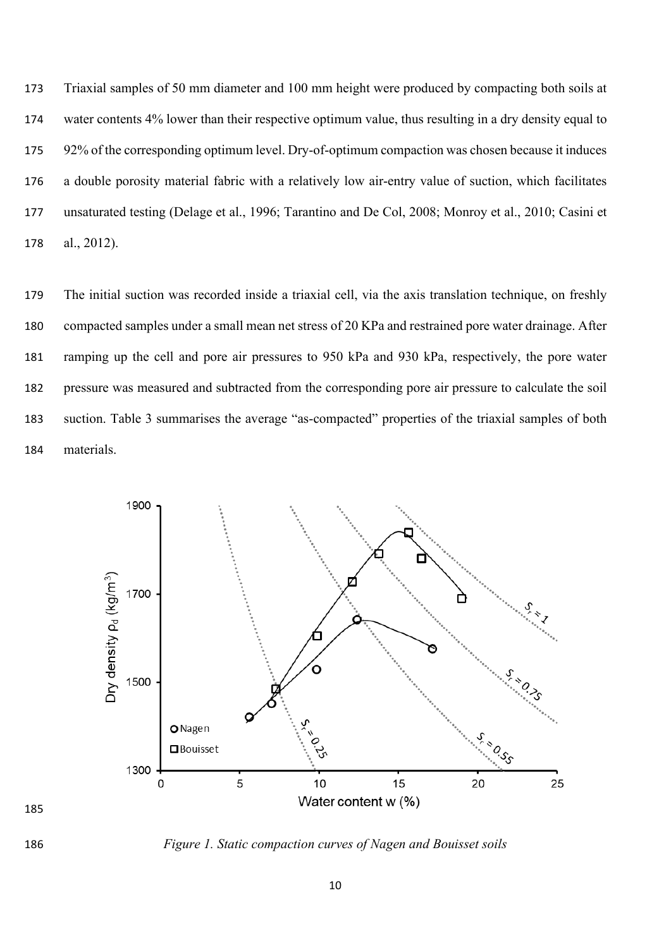Triaxial samples of 50 mm diameter and 100 mm height were produced by compacting both soils at water contents 4% lower than their respective optimum value, thus resulting in a dry density equal to 92% of the corresponding optimum level. Dry-of-optimum compaction was chosen because it induces a double porosity material fabric with a relatively low air-entry value of suction, which facilitates unsaturated testing (Delage et al., 1996; Tarantino and De Col, 2008; Monroy et al., 2010; Casini et al., 2012).

 The initial suction was recorded inside a triaxial cell, via the axis translation technique, on freshly compacted samples under a small mean net stress of 20 KPa and restrained pore water drainage. After ramping up the cell and pore air pressures to 950 kPa and 930 kPa, respectively, the pore water pressure was measured and subtracted from the corresponding pore air pressure to calculate the soil suction. Table 3 summarises the average "as-compacted" properties of the triaxial samples of both materials.



*Figure 1. Static compaction curves of Nagen and Bouisset soils*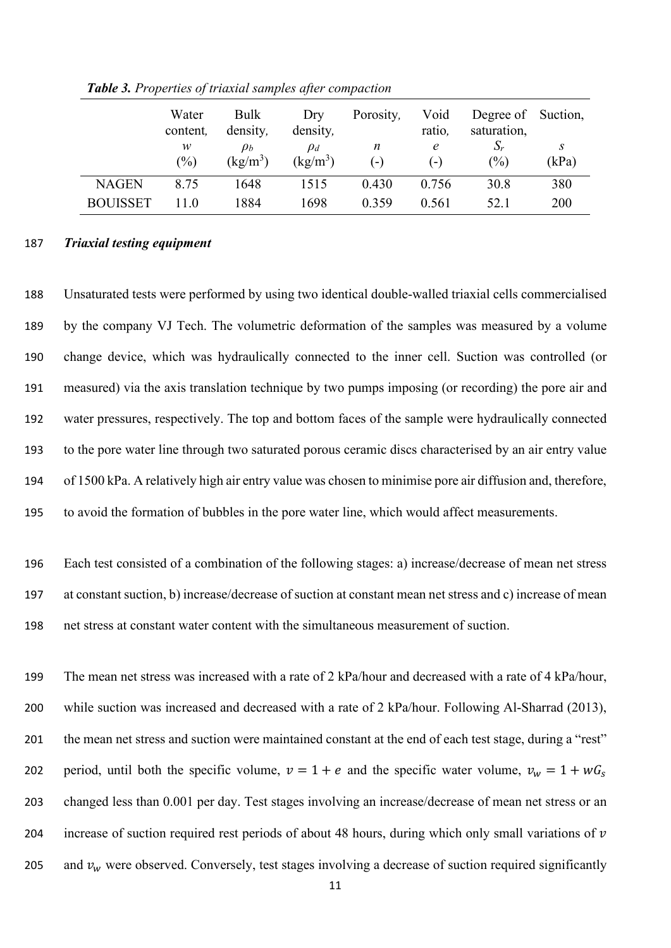|                 | Water<br>content, | <b>Bulk</b><br>density, | Dry<br>density,        | Porosity,  | Void<br>ratio, | Degree of Suction,<br>saturation, |            |
|-----------------|-------------------|-------------------------|------------------------|------------|----------------|-----------------------------------|------------|
|                 | w<br>(%)          | $\rho_b$<br>$(kg/m^3)$  | $\rho_d$<br>$(kg/m^3)$ | n<br>$(-,$ | e<br>( – )     | $\Delta_r$<br>(%)                 | S<br>(kPa) |
| <b>NAGEN</b>    | 8.75              | 1648                    | 1515                   | 0.430      | 0.756          | 30.8                              | 380        |
| <b>BOUISSET</b> | 11.0              | 1884                    | 1698                   | 0.359      | 0.561          | 52.1                              | 200        |

*Table 3. Properties of triaxial samples after compaction*

# 187 *Triaxial testing equipment*

 Unsaturated tests were performed by using two identical double-walled triaxial cells commercialised by the company VJ Tech. The volumetric deformation of the samples was measured by a volume change device, which was hydraulically connected to the inner cell. Suction was controlled (or measured) via the axis translation technique by two pumps imposing (or recording) the pore air and water pressures, respectively. The top and bottom faces of the sample were hydraulically connected to the pore water line through two saturated porous ceramic discs characterised by an air entry value of 1500 kPa. A relatively high air entry value was chosen to minimise pore air diffusion and, therefore, to avoid the formation of bubbles in the pore water line, which would affect measurements.

196 Each test consisted of a combination of the following stages: a) increase/decrease of mean net stress 197 at constant suction, b) increase/decrease of suction at constant mean net stress and c) increase of mean 198 net stress at constant water content with the simultaneous measurement of suction.

199 The mean net stress was increased with a rate of 2 kPa/hour and decreased with a rate of 4 kPa/hour, 200 while suction was increased and decreased with a rate of 2 kPa/hour. Following Al-Sharrad (2013), 201 the mean net stress and suction were maintained constant at the end of each test stage, during a "rest" 202 period, until both the specific volume,  $v = 1 + e$  and the specific water volume,  $v_w = 1 + wG_s$ 203 changed less than 0.001 per day. Test stages involving an increase/decrease of mean net stress or an 204 increase of suction required rest periods of about 48 hours, during which only small variations of  $\nu$ 205 and  $v_w$  were observed. Conversely, test stages involving a decrease of suction required significantly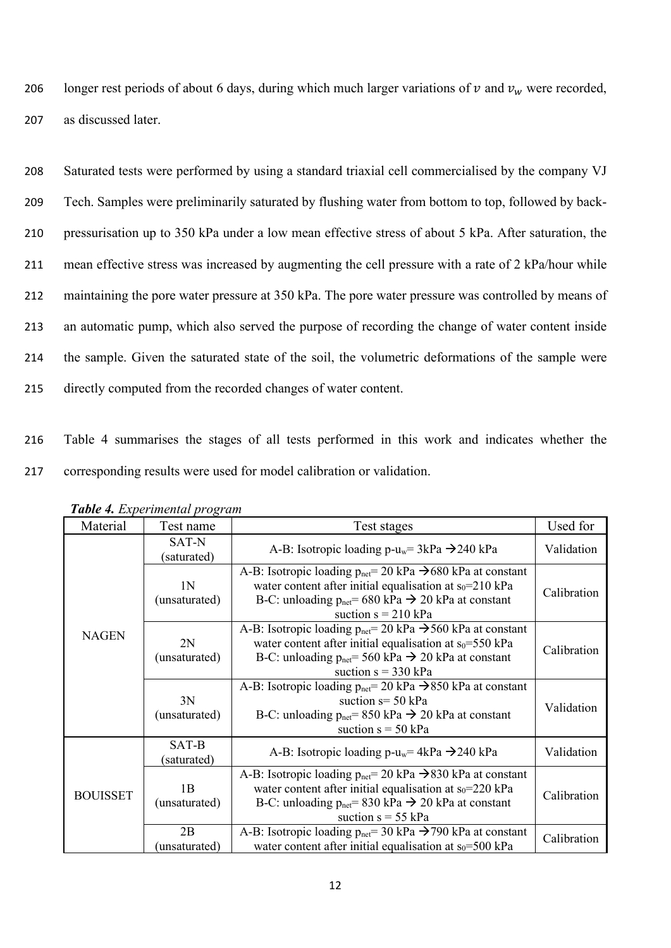206 longer rest periods of about 6 days, during which much larger variations of  $v$  and  $v_w$  were recorded, 207 as discussed later.

 Saturated tests were performed by using a standard triaxial cell commercialised by the company VJ Tech. Samples were preliminarily saturated by flushing water from bottom to top, followed by back- pressurisation up to 350 kPa under a low mean effective stress of about 5 kPa. After saturation, the mean effective stress was increased by augmenting the cell pressure with a rate of 2 kPa/hour while maintaining the pore water pressure at 350 kPa. The pore water pressure was controlled by means of an automatic pump, which also served the purpose of recording the change of water content inside the sample. Given the saturated state of the soil, the volumetric deformations of the sample were directly computed from the recorded changes of water content.

216 Table 4 summarises the stages of all tests performed in this work and indicates whether the 217 corresponding results were used for model calibration or validation.

| Material        | $r \cdot \infty$<br>Test name | Test stages                                                                                                                                                                                                                                                                  |             |
|-----------------|-------------------------------|------------------------------------------------------------------------------------------------------------------------------------------------------------------------------------------------------------------------------------------------------------------------------|-------------|
|                 | SAT-N<br>(saturated)          | A-B: Isotropic loading p-u <sub>w</sub> = $3kPa \rightarrow 240 kPa$                                                                                                                                                                                                         | Validation  |
|                 | 1N<br>(unsaturated)           | A-B: Isotropic loading $p_{\text{net}} = 20 \text{ kPa} \rightarrow 680 \text{ kPa}$ at constant<br>water content after initial equalisation at $s_0$ =210 kPa<br>B-C: unloading $p_{net} = 680 \text{ kPa} \rightarrow 20 \text{ kPa}$ at constant<br>suction $s = 210$ kPa | Calibration |
| <b>NAGEN</b>    | 2N<br>(unsaturated)           | A-B: Isotropic loading $p_{net} = 20$ kPa $\rightarrow$ 560 kPa at constant<br>water content after initial equalisation at $s_0 = 550$ kPa<br>B-C: unloading $p_{net} = 560 \text{ kPa} \rightarrow 20 \text{ kPa}$ at constant<br>suction $s = 330$ kPa                     | Calibration |
|                 | 3N<br>(unsaturated)           | A-B: Isotropic loading $p_{net} = 20$ kPa $\rightarrow$ 850 kPa at constant<br>suction $s = 50$ kPa<br>B-C: unloading $p_{net} = 850 \text{ kPa} \rightarrow 20 \text{ kPa}$ at constant<br>suction $s = 50$ kPa                                                             | Validation  |
|                 | SAT-B<br>(saturated)          | A-B: Isotropic loading p-u <sub>w</sub> = $4kPa \rightarrow 240 kPa$                                                                                                                                                                                                         | Validation  |
| <b>BOUISSET</b> | 1B<br>(unsaturated)           | A-B: Isotropic loading $p_{\text{net}} = 20 \text{ kPa} \rightarrow 830 \text{ kPa}$ at constant<br>water content after initial equalisation at $s_0$ =220 kPa<br>B-C: unloading $p_{net} = 830 \text{ kPa} \rightarrow 20 \text{ kPa}$ at constant<br>suction $s = 55$ kPa  | Calibration |
|                 | 2B<br>unsaturated)            | A-B: Isotropic loading $p_{\text{net}} = 30 \text{ kPa} \rightarrow 790 \text{ kPa}$ at constant<br>water content after initial equalisation at $s_0 = 500$ kPa                                                                                                              | Calibration |

*Table 4. Experimental program*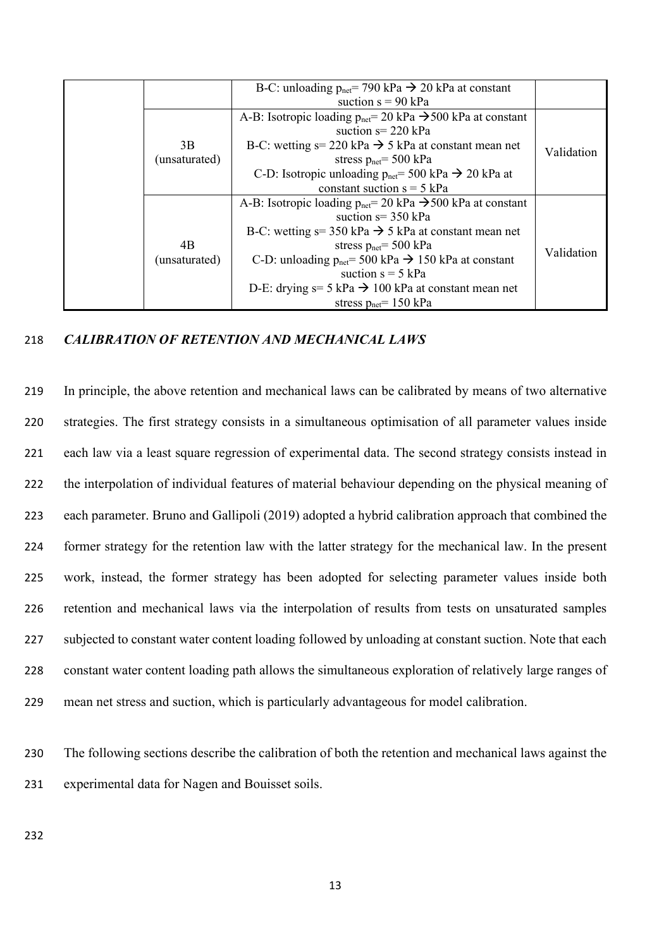|  |               | B-C: unloading $p_{net} = 790 \text{ kPa} \rightarrow 20 \text{ kPa}$ at constant                |            |
|--|---------------|--------------------------------------------------------------------------------------------------|------------|
|  |               | suction $s = 90$ kPa                                                                             |            |
|  |               | A-B: Isotropic loading $p_{\text{net}} = 20 \text{ kPa} \rightarrow 500 \text{ kPa}$ at constant |            |
|  |               | suction $s = 220$ kPa                                                                            |            |
|  | 3B            | B-C: wetting $s = 220$ kPa $\rightarrow$ 5 kPa at constant mean net                              |            |
|  | (unsaturated) | stress $p_{net} = 500$ kPa                                                                       | Validation |
|  |               | C-D: Isotropic unloading $p_{net} = 500 \text{ kPa} \rightarrow 20 \text{ kPa}$ at               |            |
|  |               | constant suction $s = 5$ kPa                                                                     |            |
|  |               | A-B: Isotropic loading $p_{\text{net}} = 20 \text{ kPa} \rightarrow 500 \text{ kPa}$ at constant |            |
|  |               | suction $s = 350$ kPa                                                                            |            |
|  |               | B-C: wetting $s = 350$ kPa $\rightarrow$ 5 kPa at constant mean net                              |            |
|  | 4B            | stress $p_{net} = 500$ kPa                                                                       |            |
|  | (unsaturated) | C-D: unloading $p_{net} = 500 \text{ kPa} \rightarrow 150 \text{ kPa}$ at constant               | Validation |
|  |               | suction $s = 5$ kPa                                                                              |            |
|  |               | D-E: drying $s=5$ kPa $\rightarrow$ 100 kPa at constant mean net                                 |            |
|  |               | stress $p_{net}$ = 150 kPa                                                                       |            |

# 218 *CALIBRATION OF RETENTION AND MECHANICAL LAWS*

 In principle, the above retention and mechanical laws can be calibrated by means of two alternative strategies. The first strategy consists in a simultaneous optimisation of all parameter values inside each law via a least square regression of experimental data. The second strategy consists instead in the interpolation of individual features of material behaviour depending on the physical meaning of each parameter. Bruno and Gallipoli (2019) adopted a hybrid calibration approach that combined the former strategy for the retention law with the latter strategy for the mechanical law. In the present work, instead, the former strategy has been adopted for selecting parameter values inside both retention and mechanical laws via the interpolation of results from tests on unsaturated samples 227 subjected to constant water content loading followed by unloading at constant suction. Note that each constant water content loading path allows the simultaneous exploration of relatively large ranges of mean net stress and suction, which is particularly advantageous for model calibration.

230 The following sections describe the calibration of both the retention and mechanical laws against the 231 experimental data for Nagen and Bouisset soils.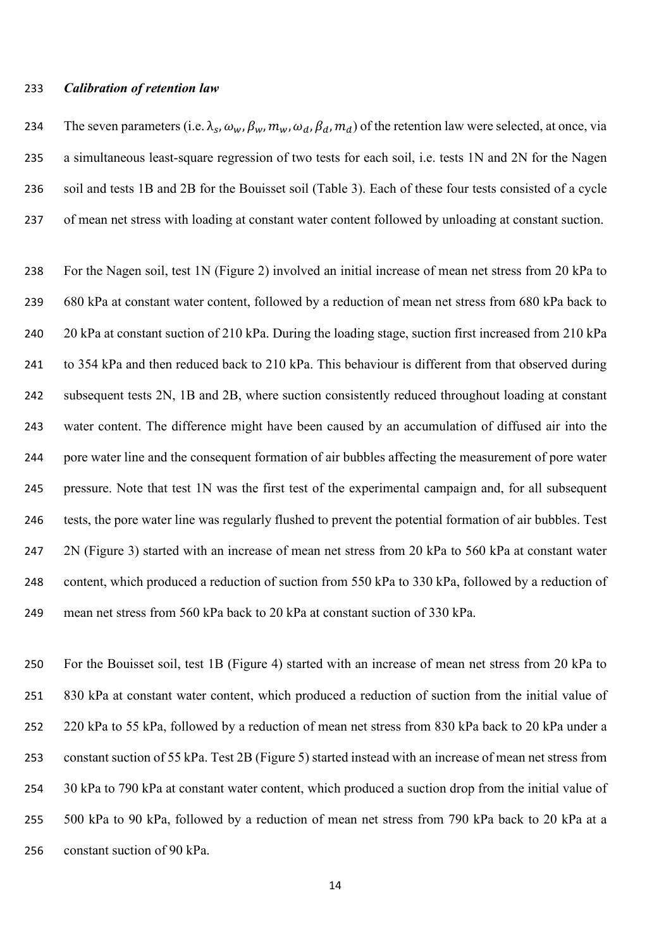### *Calibration of retention law*

234 The seven parameters (i.e.  $\lambda_s$ ,  $\omega_w$ ,  $\beta_w$ ,  $m_w$ ,  $\omega_d$ ,  $\beta_d$ ,  $m_d$ ) of the retention law were selected, at once, via a simultaneous least-square regression of two tests for each soil, i.e. tests 1N and 2N for the Nagen soil and tests 1B and 2B for the Bouisset soil (Table 3). Each of these four tests consisted of a cycle of mean net stress with loading at constant water content followed by unloading at constant suction.

 For the Nagen soil, test 1N (Figure 2) involved an initial increase of mean net stress from 20 kPa to 680 kPa at constant water content, followed by a reduction of mean net stress from 680 kPa back to 20 kPa at constant suction of 210 kPa. During the loading stage, suction first increased from 210 kPa to 354 kPa and then reduced back to 210 kPa. This behaviour is different from that observed during subsequent tests 2N, 1B and 2B, where suction consistently reduced throughout loading at constant water content. The difference might have been caused by an accumulation of diffused air into the pore water line and the consequent formation of air bubbles affecting the measurement of pore water pressure. Note that test 1N was the first test of the experimental campaign and, for all subsequent tests, the pore water line was regularly flushed to prevent the potential formation of air bubbles. Test 2N (Figure 3) started with an increase of mean net stress from 20 kPa to 560 kPa at constant water content, which produced a reduction of suction from 550 kPa to 330 kPa, followed by a reduction of mean net stress from 560 kPa back to 20 kPa at constant suction of 330 kPa.

 For the Bouisset soil, test 1B (Figure 4) started with an increase of mean net stress from 20 kPa to 830 kPa at constant water content, which produced a reduction of suction from the initial value of 220 kPa to 55 kPa, followed by a reduction of mean net stress from 830 kPa back to 20 kPa under a constant suction of 55 kPa. Test 2B (Figure 5) started instead with an increase of mean net stress from 30 kPa to 790 kPa at constant water content, which produced a suction drop from the initial value of 500 kPa to 90 kPa, followed by a reduction of mean net stress from 790 kPa back to 20 kPa at a constant suction of 90 kPa.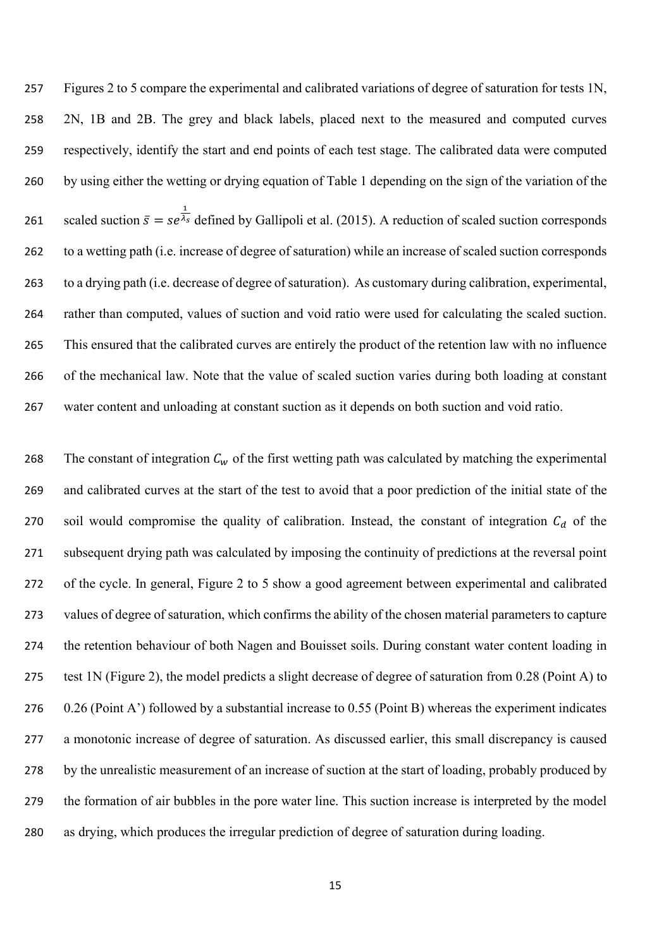Figures 2 to 5 compare the experimental and calibrated variations of degree of saturation for tests 1N, 2N, 1B and 2B. The grey and black labels, placed next to the measured and computed curves respectively, identify the start and end points of each test stage. The calibrated data were computed by using either the wetting or drying equation of Table 1 depending on the sign of the variation of the 261 scaled suction  $\bar{s} = s e^{\frac{1}{\lambda_s}}$  defined by Gallipoli et al. (2015). A reduction of scaled suction corresponds to a wetting path (i.e. increase of degree of saturation) while an increase of scaled suction corresponds to a drying path (i.e. decrease of degree of saturation). As customary during calibration, experimental, rather than computed, values of suction and void ratio were used for calculating the scaled suction. This ensured that the calibrated curves are entirely the product of the retention law with no influence of the mechanical law. Note that the value of scaled suction varies during both loading at constant water content and unloading at constant suction as it depends on both suction and void ratio.

268 The constant of integration  $C_w$  of the first wetting path was calculated by matching the experimental and calibrated curves at the start of the test to avoid that a poor prediction of the initial state of the 270 soil would compromise the quality of calibration. Instead, the constant of integration  $C_d$  of the subsequent drying path was calculated by imposing the continuity of predictions at the reversal point of the cycle. In general, Figure 2 to 5 show a good agreement between experimental and calibrated values of degree of saturation, which confirms the ability of the chosen material parameters to capture the retention behaviour of both Nagen and Bouisset soils. During constant water content loading in test 1N (Figure 2), the model predicts a slight decrease of degree of saturation from 0.28 (Point A) to 0.26 (Point A') followed by a substantial increase to 0.55 (Point B) whereas the experiment indicates a monotonic increase of degree of saturation. As discussed earlier, this small discrepancy is caused by the unrealistic measurement of an increase of suction at the start of loading, probably produced by the formation of air bubbles in the pore water line. This suction increase is interpreted by the model as drying, which produces the irregular prediction of degree of saturation during loading.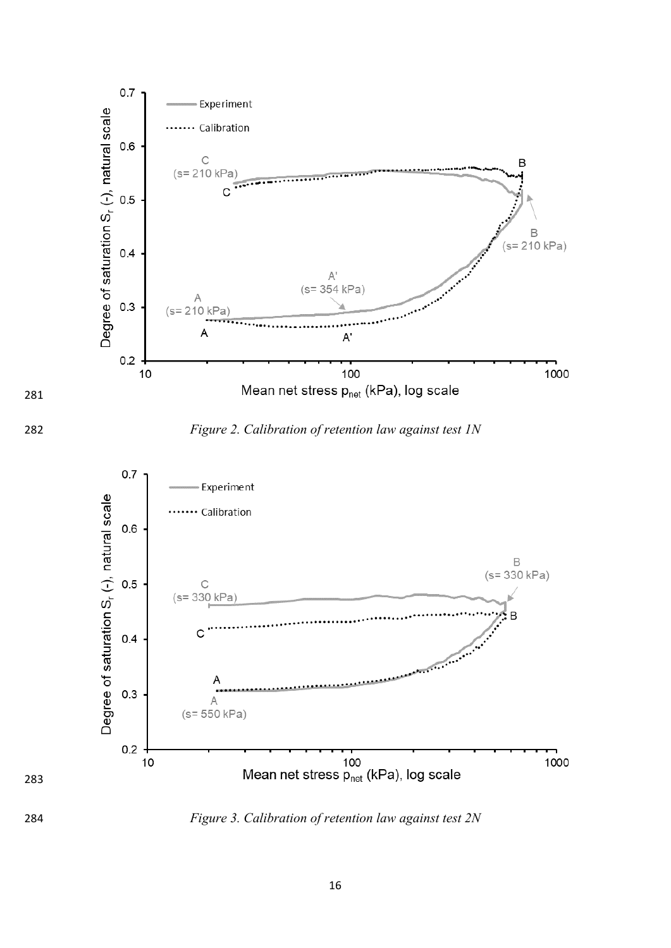



*Figure 2. Calibration of retention law against test 1N*



*Figure 3. Calibration of retention law against test 2N*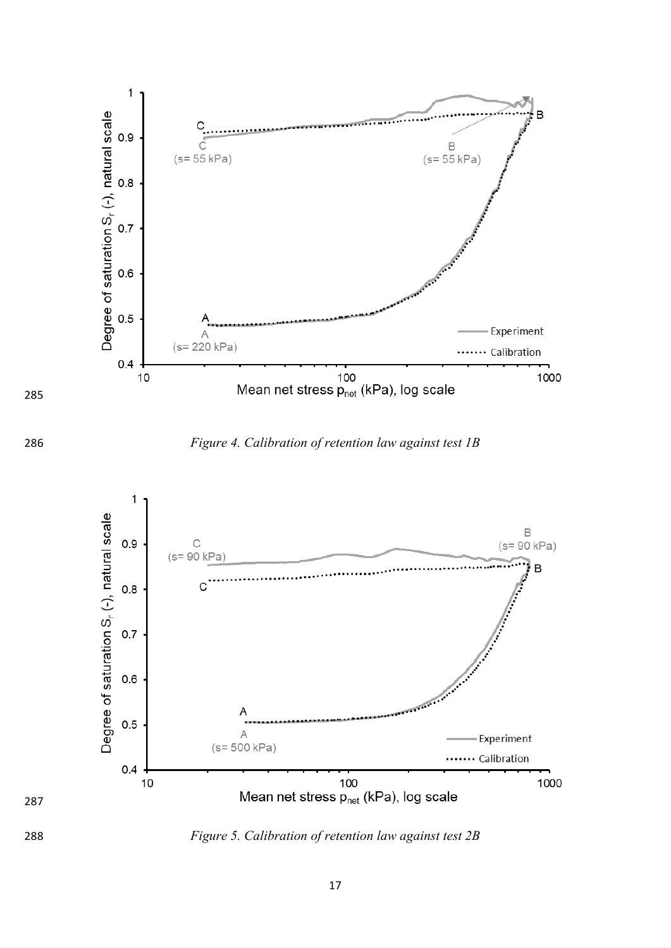

*Figure 4. Calibration of retention law against test 1B* 



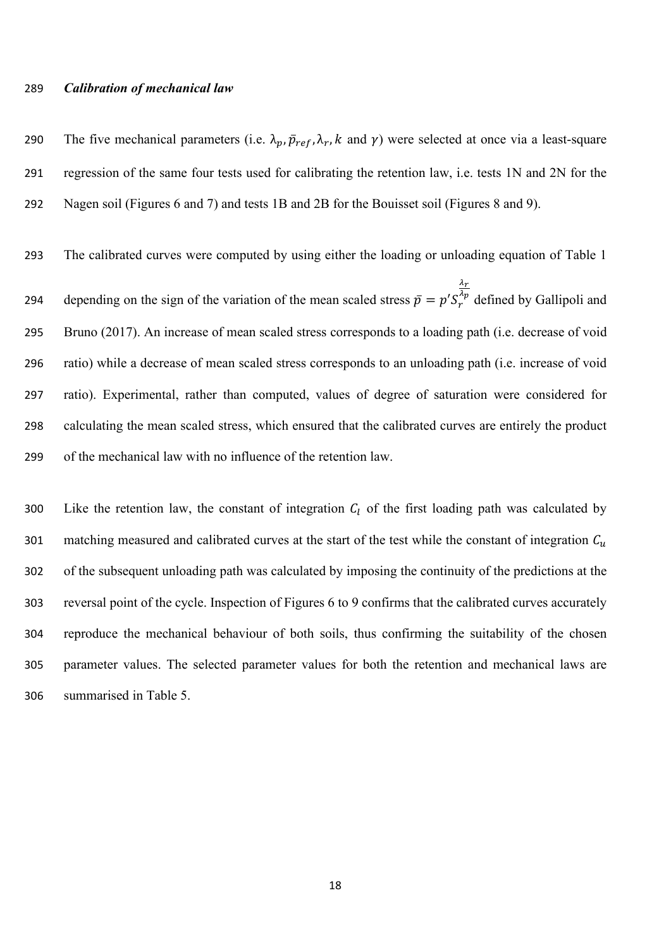### *Calibration of mechanical law*

290 The five mechanical parameters (i.e.  $\lambda_p$ ,  $\bar{p}_{ref}$ ,  $\lambda_r$ , k and  $\gamma$ ) were selected at once via a least-square regression of the same four tests used for calibrating the retention law, i.e. tests 1N and 2N for the Nagen soil (Figures 6 and 7) and tests 1B and 2B for the Bouisset soil (Figures 8 and 9).

 The calibrated curves were computed by using either the loading or unloading equation of Table 1 depending on the sign of the variation of the mean scaled stress  $\bar{p} = p' S'_r$  $\frac{\lambda_T}{\lambda}$ 294 depending on the sign of the variation of the mean scaled stress  $\bar{p} = p' S_r^{\lambda p}$  defined by Gallipoli and Bruno (2017). An increase of mean scaled stress corresponds to a loading path (i.e. decrease of void ratio) while a decrease of mean scaled stress corresponds to an unloading path (i.e. increase of void ratio). Experimental, rather than computed, values of degree of saturation were considered for calculating the mean scaled stress, which ensured that the calibrated curves are entirely the product of the mechanical law with no influence of the retention law.

300 Like the retention law, the constant of integration  $C_l$  of the first loading path was calculated by 301 matching measured and calibrated curves at the start of the test while the constant of integration  $C_u$  of the subsequent unloading path was calculated by imposing the continuity of the predictions at the reversal point of the cycle. Inspection of Figures 6 to 9 confirms that the calibrated curves accurately reproduce the mechanical behaviour of both soils, thus confirming the suitability of the chosen parameter values. The selected parameter values for both the retention and mechanical laws are summarised in Table 5.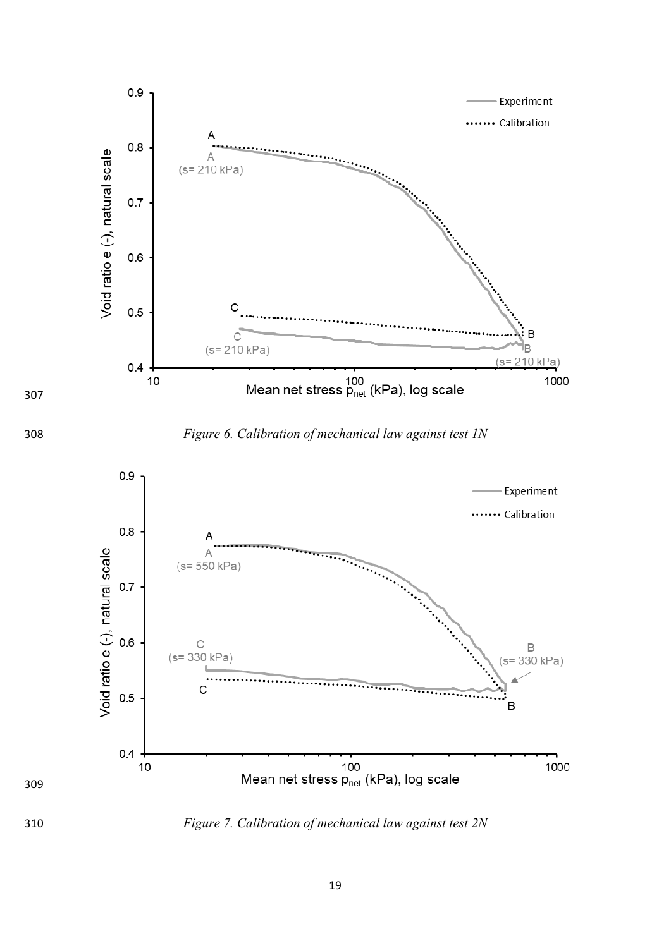





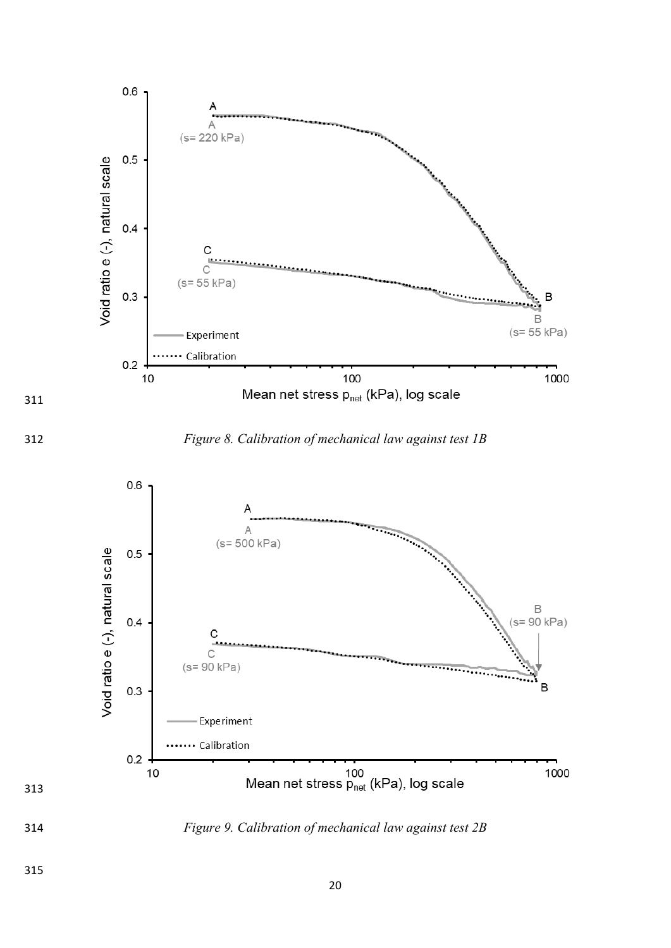



*Figure 8. Calibration of mechanical law against test 1B* 



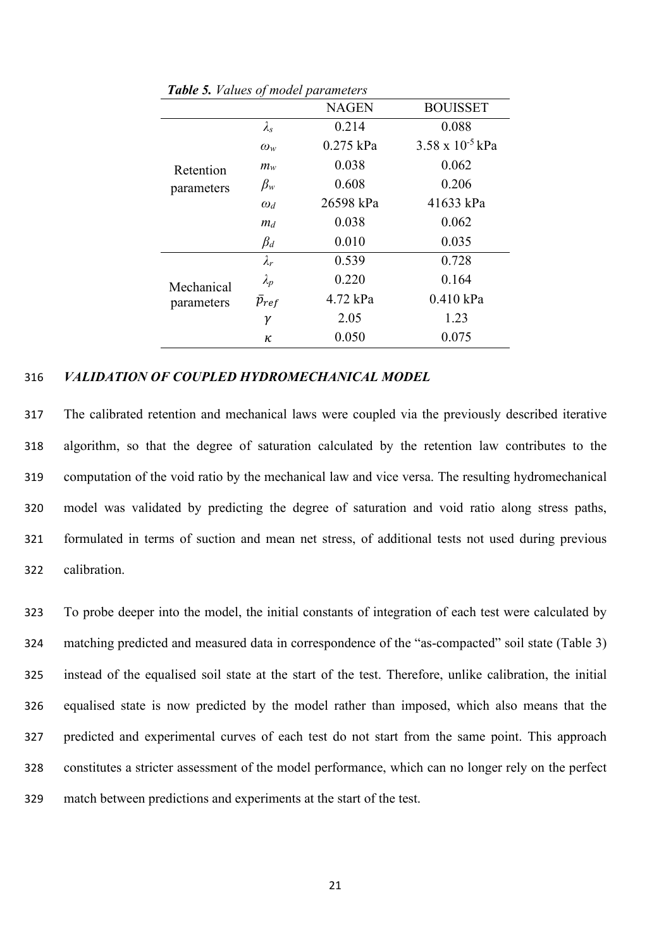|            |                   | <b>NAGEN</b> | <b>BOUISSET</b>           |
|------------|-------------------|--------------|---------------------------|
|            | $\lambda_{\rm s}$ | 0.214        | 0.088                     |
|            | $\omega_w$        | $0.275$ kPa  | $3.58 \times 10^{-5}$ kPa |
| Retention  | $m_w$             | 0.038        | 0.062                     |
| parameters | $\beta_w$         | 0.608        | 0.206                     |
|            | $\omega_d$        | 26598 kPa    | 41633 kPa                 |
|            | $m_d$             | 0.038        | 0.062                     |
|            | $\beta_d$         | 0.010        | 0.035                     |
|            | $\lambda_r$       | 0.539        | 0.728                     |
| Mechanical | $\lambda_{p}$     | 0.220        | 0.164                     |
| parameters | $\bar{p}_{ref}$   | 4.72 kPa     | $0.410$ kPa               |
|            | γ                 | 2.05         | 1.23                      |
|            | κ                 | 0.050        | 0.075                     |

*Table 5. Values of model parameters*

### 316 *VALIDATION OF COUPLED HYDROMECHANICAL MODEL*

 The calibrated retention and mechanical laws were coupled via the previously described iterative algorithm, so that the degree of saturation calculated by the retention law contributes to the computation of the void ratio by the mechanical law and vice versa. The resulting hydromechanical model was validated by predicting the degree of saturation and void ratio along stress paths, formulated in terms of suction and mean net stress, of additional tests not used during previous calibration.

 To probe deeper into the model, the initial constants of integration of each test were calculated by matching predicted and measured data in correspondence of the "as-compacted" soil state (Table 3) instead of the equalised soil state at the start of the test. Therefore, unlike calibration, the initial equalised state is now predicted by the model rather than imposed, which also means that the predicted and experimental curves of each test do not start from the same point. This approach constitutes a stricter assessment of the model performance, which can no longer rely on the perfect match between predictions and experiments at the start of the test.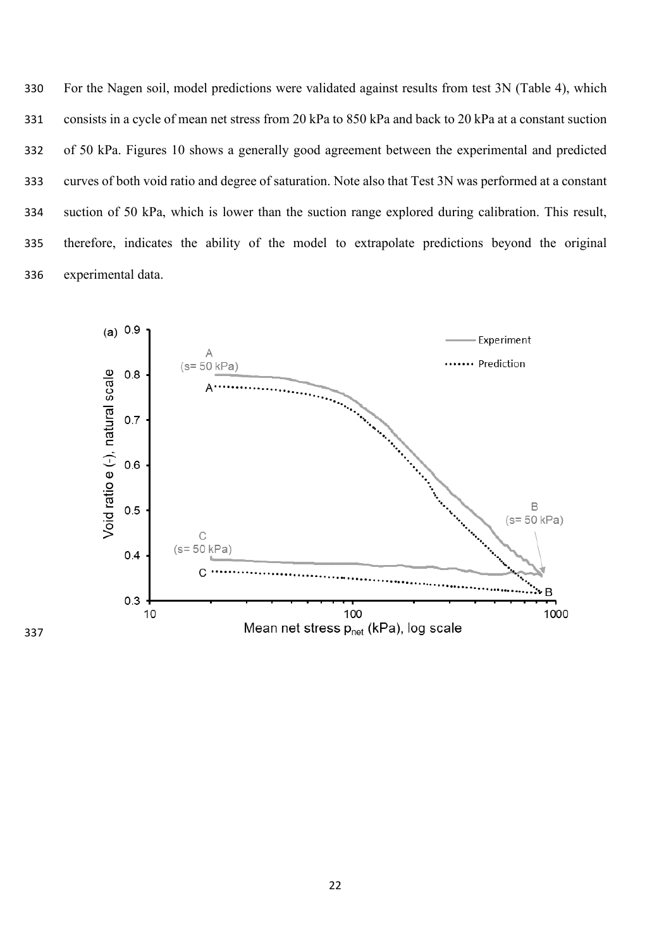For the Nagen soil, model predictions were validated against results from test 3N (Table 4), which consists in a cycle of mean net stress from 20 kPa to 850 kPa and back to 20 kPa at a constant suction of 50 kPa. Figures 10 shows a generally good agreement between the experimental and predicted curves of both void ratio and degree of saturation. Note also that Test 3N was performed at a constant suction of 50 kPa, which is lower than the suction range explored during calibration. This result, therefore, indicates the ability of the model to extrapolate predictions beyond the original experimental data.

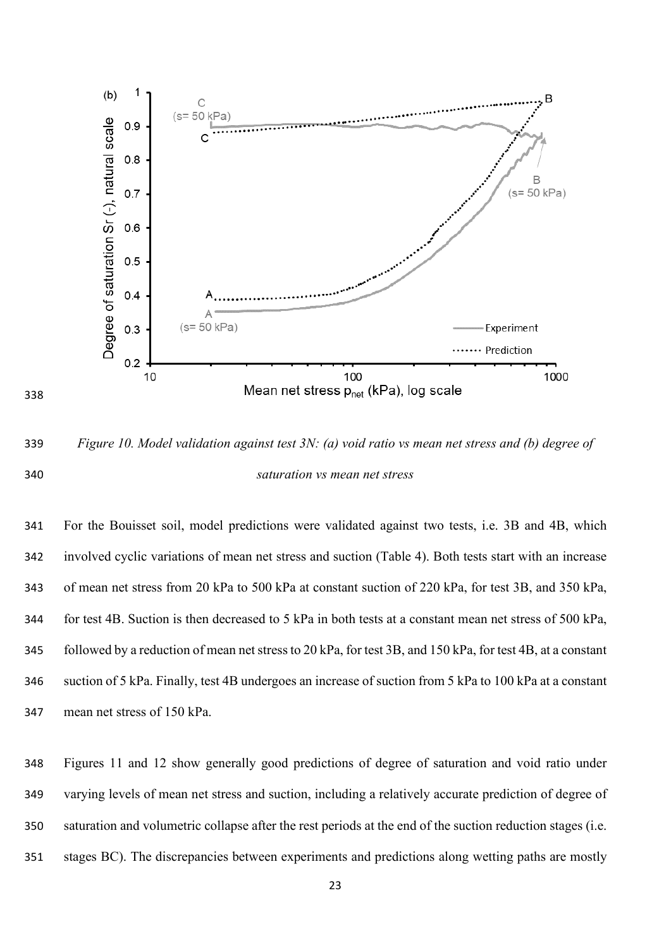

 *Figure 10. Model validation against test 3N: (a) void ratio vs mean net stress and (b) degree of saturation vs mean net stress* 

 For the Bouisset soil, model predictions were validated against two tests, i.e. 3B and 4B, which involved cyclic variations of mean net stress and suction (Table 4). Both tests start with an increase of mean net stress from 20 kPa to 500 kPa at constant suction of 220 kPa, for test 3B, and 350 kPa, for test 4B. Suction is then decreased to 5 kPa in both tests at a constant mean net stress of 500 kPa, followed by a reduction of mean net stressto 20 kPa, for test 3B, and 150 kPa, for test 4B, at a constant suction of 5 kPa. Finally, test 4B undergoes an increase of suction from 5 kPa to 100 kPa at a constant mean net stress of 150 kPa.

 Figures 11 and 12 show generally good predictions of degree of saturation and void ratio under varying levels of mean net stress and suction, including a relatively accurate prediction of degree of saturation and volumetric collapse after the rest periods at the end of the suction reduction stages (i.e. stages BC). The discrepancies between experiments and predictions along wetting paths are mostly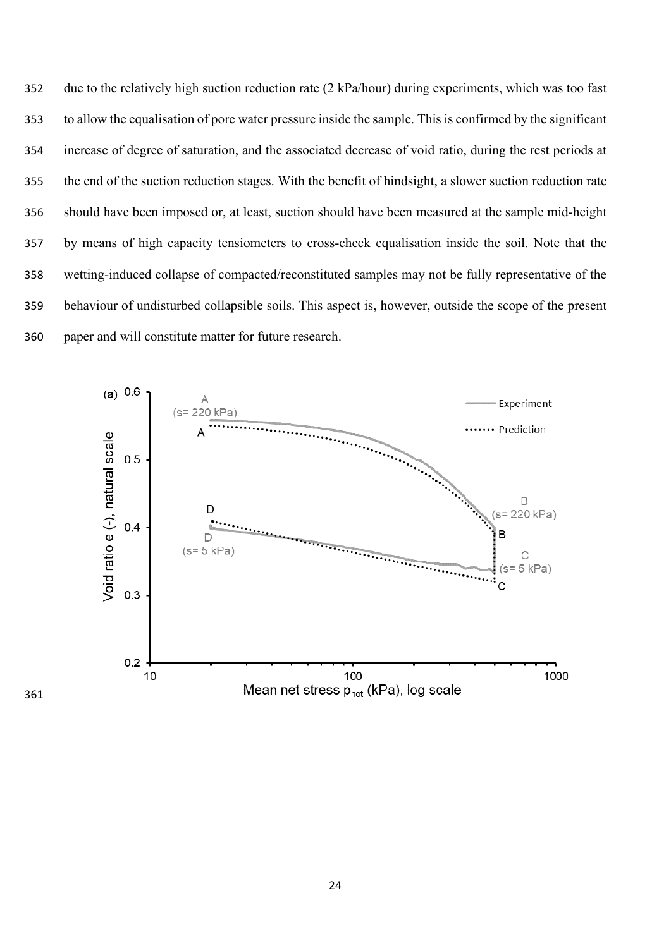due to the relatively high suction reduction rate (2 kPa/hour) during experiments, which was too fast to allow the equalisation of pore water pressure inside the sample. This is confirmed by the significant increase of degree of saturation, and the associated decrease of void ratio, during the rest periods at the end of the suction reduction stages. With the benefit of hindsight, a slower suction reduction rate should have been imposed or, at least, suction should have been measured at the sample mid-height by means of high capacity tensiometers to cross-check equalisation inside the soil. Note that the wetting-induced collapse of compacted/reconstituted samples may not be fully representative of the behaviour of undisturbed collapsible soils. This aspect is, however, outside the scope of the present paper and will constitute matter for future research.

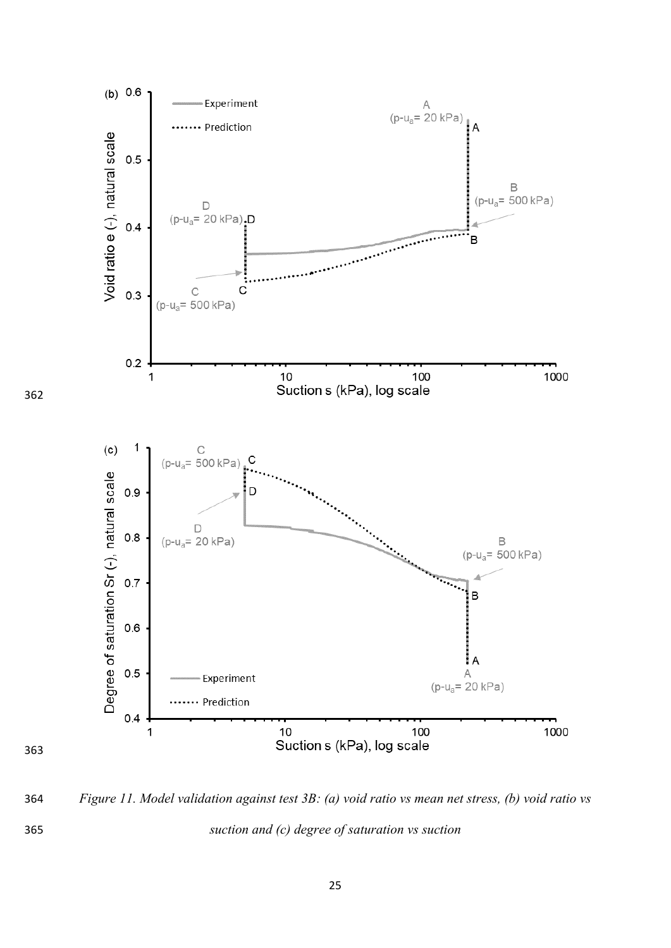

 *Figure 11. Model validation against test 3B: (a) void ratio vs mean net stress, (b) void ratio vs suction and (c) degree of saturation vs suction* 

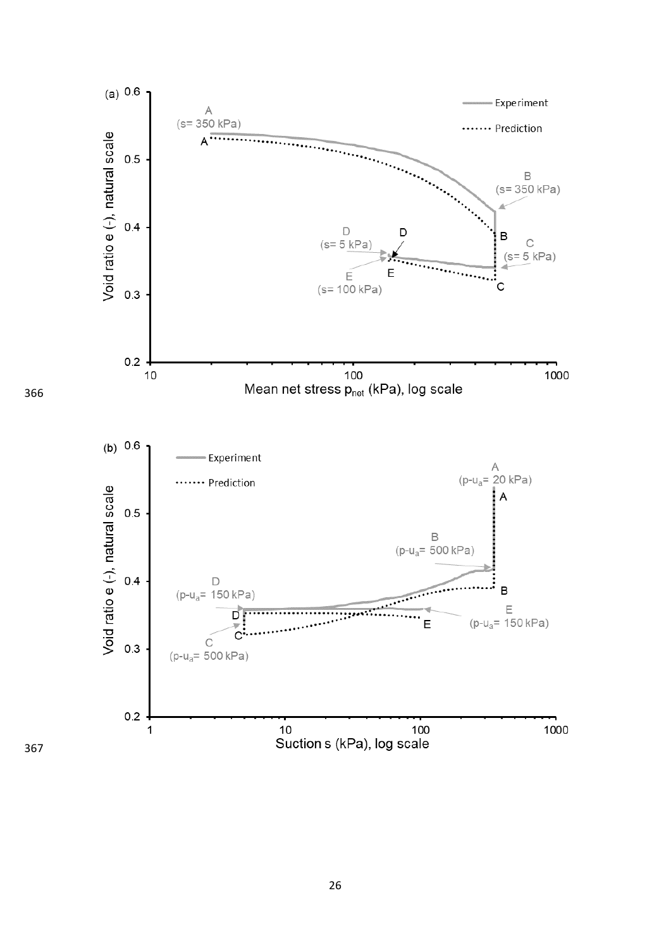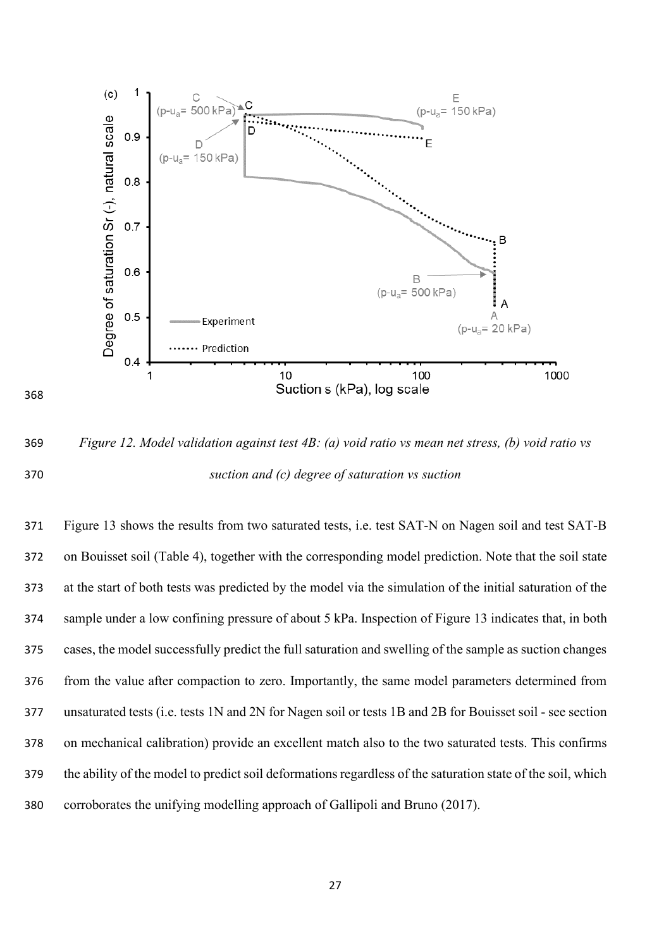

 *Figure 12. Model validation against test 4B: (a) void ratio vs mean net stress, (b) void ratio vs suction and (c) degree of saturation vs suction* 

 Figure 13 shows the results from two saturated tests, i.e. test SAT-N on Nagen soil and test SAT-B on Bouisset soil (Table 4), together with the corresponding model prediction. Note that the soil state at the start of both tests was predicted by the model via the simulation of the initial saturation of the sample under a low confining pressure of about 5 kPa. Inspection of Figure 13 indicates that, in both cases, the model successfully predict the full saturation and swelling of the sample as suction changes from the value after compaction to zero. Importantly, the same model parameters determined from unsaturated tests (i.e. tests 1N and 2N for Nagen soil or tests 1B and 2B for Bouisset soil - see section on mechanical calibration) provide an excellent match also to the two saturated tests. This confirms the ability of the model to predict soil deformations regardless of the saturation state of the soil, which corroborates the unifying modelling approach of Gallipoli and Bruno (2017).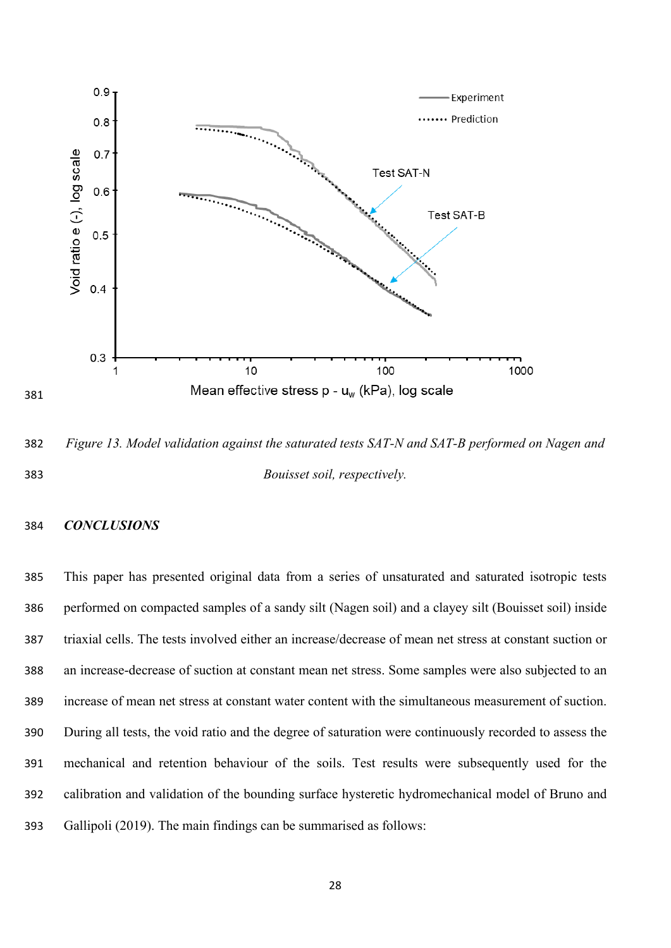

 *Figure 13. Model validation against the saturated tests SAT-N and SAT-B performed on Nagen and Bouisset soil, respectively.*

# *CONCLUSIONS*

 This paper has presented original data from a series of unsaturated and saturated isotropic tests performed on compacted samples of a sandy silt (Nagen soil) and a clayey silt (Bouisset soil) inside triaxial cells. The tests involved either an increase/decrease of mean net stress at constant suction or an increase-decrease of suction at constant mean net stress. Some samples were also subjected to an increase of mean net stress at constant water content with the simultaneous measurement of suction. During all tests, the void ratio and the degree of saturation were continuously recorded to assess the mechanical and retention behaviour of the soils. Test results were subsequently used for the calibration and validation of the bounding surface hysteretic hydromechanical model of Bruno and Gallipoli (2019). The main findings can be summarised as follows: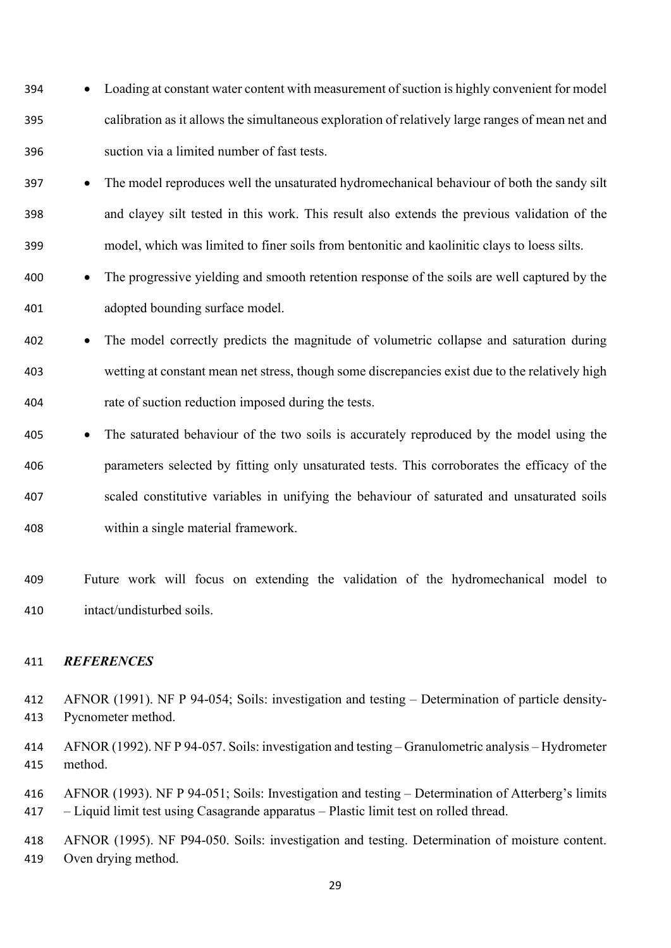- Loading at constant water content with measurement of suction is highly convenient for model calibration as it allows the simultaneous exploration of relatively large ranges of mean net and suction via a limited number of fast tests.
- The model reproduces well the unsaturated hydromechanical behaviour of both the sandy silt and clayey silt tested in this work. This result also extends the previous validation of the model, which was limited to finer soils from bentonitic and kaolinitic clays to loess silts.
- The progressive yielding and smooth retention response of the soils are well captured by the adopted bounding surface model.
- The model correctly predicts the magnitude of volumetric collapse and saturation during wetting at constant mean net stress, though some discrepancies exist due to the relatively high rate of suction reduction imposed during the tests.
- The saturated behaviour of the two soils is accurately reproduced by the model using the parameters selected by fitting only unsaturated tests. This corroborates the efficacy of the scaled constitutive variables in unifying the behaviour of saturated and unsaturated soils within a single material framework.
- Future work will focus on extending the validation of the hydromechanical model to intact/undisturbed soils.

# *REFERENCES*

- AFNOR (1991). NF P 94-054; Soils: investigation and testing Determination of particle density-Pycnometer method.
- AFNOR (1992). NF P 94-057. Soils: investigation and testing Granulometric analysis Hydrometer method.
- AFNOR (1993). NF P 94-051; Soils: Investigation and testing Determination of Atterberg's limits – Liquid limit test using Casagrande apparatus – Plastic limit test on rolled thread.
- AFNOR (1995). NF P94-050. Soils: investigation and testing. Determination of moisture content. Oven drying method.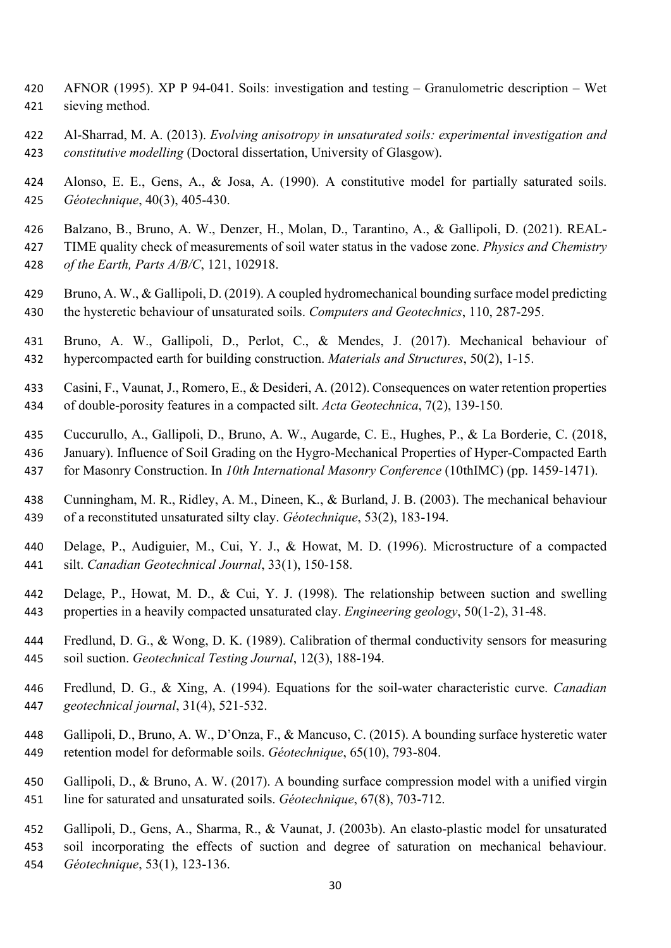- AFNOR (1995). XP P 94-041. Soils: investigation and testing Granulometric description Wet sieving method.
- Al-Sharrad, M. A. (2013). *Evolving anisotropy in unsaturated soils: experimental investigation and constitutive modelling* (Doctoral dissertation, University of Glasgow).
- Alonso, E. E., Gens, A., & Josa, A. (1990). A constitutive model for partially saturated soils. *Géotechnique*, 40(3), 405-430.
- Balzano, B., Bruno, A. W., Denzer, H., Molan, D., Tarantino, A., & Gallipoli, D. (2021). REAL-
- TIME quality check of measurements of soil water status in the vadose zone. *Physics and Chemistry*
- *of the Earth, Parts A/B/C*, 121, 102918.
- Bruno, A. W., & Gallipoli, D. (2019). A coupled hydromechanical bounding surface model predicting the hysteretic behaviour of unsaturated soils. *Computers and Geotechnics*, 110, 287-295.
- Bruno, A. W., Gallipoli, D., Perlot, C., & Mendes, J. (2017). Mechanical behaviour of hypercompacted earth for building construction. *Materials and Structures*, 50(2), 1-15.
- Casini, F., Vaunat, J., Romero, E., & Desideri, A. (2012). Consequences on water retention properties of double-porosity features in a compacted silt. *Acta Geotechnica*, 7(2), 139-150.
- Cuccurullo, A., Gallipoli, D., Bruno, A. W., Augarde, C. E., Hughes, P., & La Borderie, C. (2018,
- January). Influence of Soil Grading on the Hygro-Mechanical Properties of Hyper-Compacted Earth
- for Masonry Construction. In *10th International Masonry Conference* (10thIMC) (pp. 1459-1471).
- Cunningham, M. R., Ridley, A. M., Dineen, K., & Burland, J. B. (2003). The mechanical behaviour of a reconstituted unsaturated silty clay. *Géotechnique*, 53(2), 183-194.
- Delage, P., Audiguier, M., Cui, Y. J., & Howat, M. D. (1996). Microstructure of a compacted silt. *Canadian Geotechnical Journal*, 33(1), 150-158.
- Delage, P., Howat, M. D., & Cui, Y. J. (1998). The relationship between suction and swelling properties in a heavily compacted unsaturated clay. *Engineering geology*, 50(1-2), 31-48.
- Fredlund, D. G., & Wong, D. K. (1989). Calibration of thermal conductivity sensors for measuring soil suction. *Geotechnical Testing Journal*, 12(3), 188-194.
- Fredlund, D. G., & Xing, A. (1994). Equations for the soil-water characteristic curve. *Canadian geotechnical journal*, 31(4), 521-532.
- Gallipoli, D., Bruno, A. W., D'Onza, F., & Mancuso, C. (2015). A bounding surface hysteretic water retention model for deformable soils. *Géotechnique*, 65(10), 793-804.
- Gallipoli, D., & Bruno, A. W. (2017). A bounding surface compression model with a unified virgin line for saturated and unsaturated soils. *Géotechnique*, 67(8), 703-712.
- Gallipoli, D., Gens, A., Sharma, R., & Vaunat, J. (2003b). An elasto-plastic model for unsaturated
- soil incorporating the effects of suction and degree of saturation on mechanical behaviour. *Géotechnique*, 53(1), 123-136.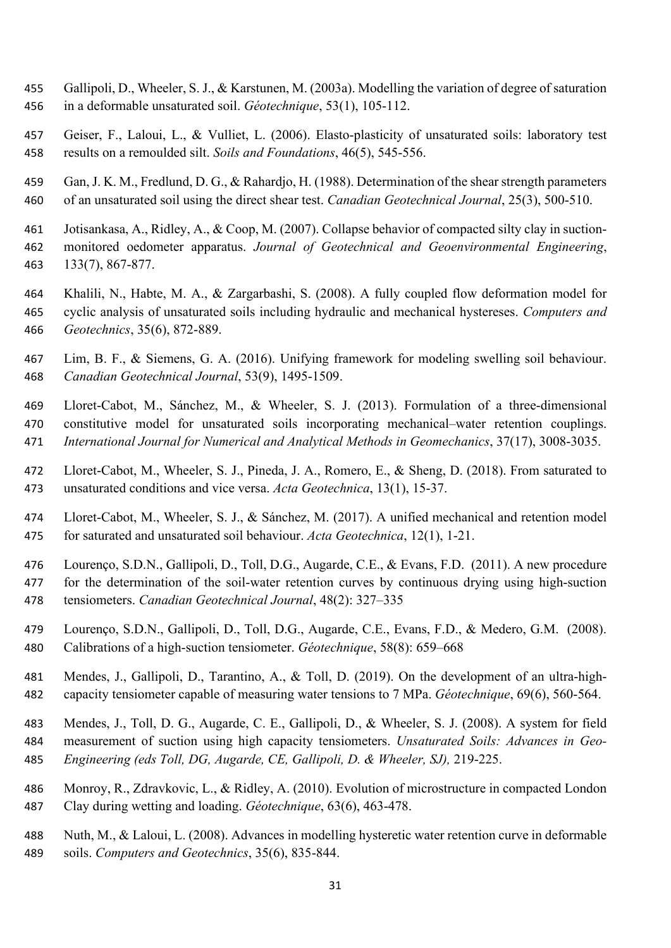- Gallipoli, D., Wheeler, S. J., & Karstunen, M. (2003a). Modelling the variation of degree of saturation in a deformable unsaturated soil. *Géotechnique*, 53(1), 105-112.
- Geiser, F., Laloui, L., & Vulliet, L. (2006). Elasto-plasticity of unsaturated soils: laboratory test results on a remoulded silt. *Soils and Foundations*, 46(5), 545-556.
- Gan, J. K. M., Fredlund, D. G., & Rahardjo, H. (1988). Determination of the shear strength parameters of an unsaturated soil using the direct shear test. *Canadian Geotechnical Journal*, 25(3), 500-510.
- Jotisankasa, A., Ridley, A., & Coop, M. (2007). Collapse behavior of compacted silty clay in suction- monitored oedometer apparatus. *Journal of Geotechnical and Geoenvironmental Engineering*, 133(7), 867-877.
- Khalili, N., Habte, M. A., & Zargarbashi, S. (2008). A fully coupled flow deformation model for cyclic analysis of unsaturated soils including hydraulic and mechanical hystereses. *Computers and Geotechnics*, 35(6), 872-889.
- Lim, B. F., & Siemens, G. A. (2016). Unifying framework for modeling swelling soil behaviour. *Canadian Geotechnical Journal*, 53(9), 1495-1509.
- 469 Lloret‐Cabot, M., Sánchez, M., & Wheeler, S. J. (2013). Formulation of a three‐dimensional constitutive model for unsaturated soils incorporating mechanical–water retention couplings. *International Journal for Numerical and Analytical Methods in Geomechanics*, 37(17), 3008-3035.
- Lloret-Cabot, M., Wheeler, S. J., Pineda, J. A., Romero, E., & Sheng, D. (2018). From saturated to unsaturated conditions and vice versa. *Acta Geotechnica*, 13(1), 15-37.
- Lloret-Cabot, M., Wheeler, S. J., & Sánchez, M. (2017). A unified mechanical and retention model for saturated and unsaturated soil behaviour. *Acta Geotechnica*, 12(1), 1-21.
- Lourenço, S.D.N., Gallipoli, D., Toll, D.G., Augarde, C.E., & Evans, F.D. (2011). A new procedure for the determination of the soil-water retention curves by continuous drying using high-suction tensiometers. *Canadian Geotechnical Journal*, 48(2): 327–335
- Lourenço, S.D.N., Gallipoli, D., Toll, D.G., Augarde, C.E., Evans, F.D., & Medero, G.M. (2008). Calibrations of a high-suction tensiometer. *Géotechnique*, 58(8): 659–668
- Mendes, J., Gallipoli, D., Tarantino, A., & Toll, D. (2019). On the development of an ultra-high-capacity tensiometer capable of measuring water tensions to 7 MPa. *Géotechnique*, 69(6), 560-564.
- Mendes, J., Toll, D. G., Augarde, C. E., Gallipoli, D., & Wheeler, S. J. (2008). A system for field measurement of suction using high capacity tensiometers. *Unsaturated Soils: Advances in Geo-Engineering (eds Toll, DG, Augarde, CE, Gallipoli, D. & Wheeler, SJ),* 219-225.
- Monroy, R., Zdravkovic, L., & Ridley, A. (2010). Evolution of microstructure in compacted London Clay during wetting and loading. *Géotechnique*, 63(6), 463-478.
- Nuth, M., & Laloui, L. (2008). Advances in modelling hysteretic water retention curve in deformable soils. *Computers and Geotechnics*, 35(6), 835-844.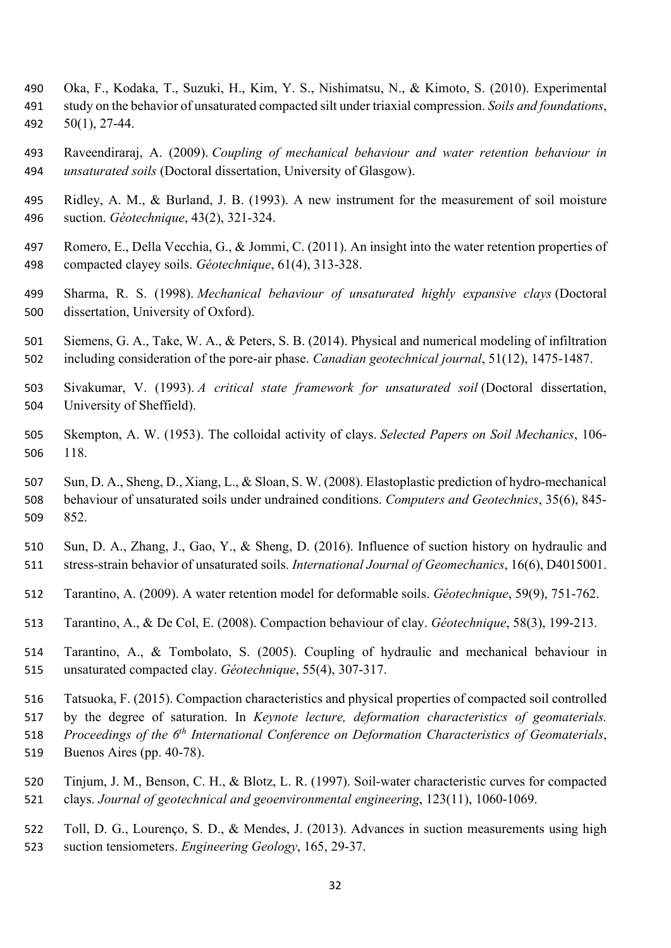- Oka, F., Kodaka, T., Suzuki, H., Kim, Y. S., Nishimatsu, N., & Kimoto, S. (2010). Experimental study on the behavior of unsaturated compacted silt under triaxial compression. *Soils and foundations*,
- 50(1), 27-44.
- Raveendiraraj, A. (2009). *Coupling of mechanical behaviour and water retention behaviour in unsaturated soils* (Doctoral dissertation, University of Glasgow).
- Ridley, A. M., & Burland, J. B. (1993). A new instrument for the measurement of soil moisture suction. *Géotechnique*, 43(2), 321-324.
- Romero, E., Della Vecchia, G., & Jommi, C. (2011). An insight into the water retention properties of compacted clayey soils. *Géotechnique*, 61(4), 313-328.
- Sharma, R. S. (1998). *Mechanical behaviour of unsaturated highly expansive clays* (Doctoral dissertation, University of Oxford).
- Siemens, G. A., Take, W. A., & Peters, S. B. (2014). Physical and numerical modeling of infiltration including consideration of the pore-air phase. *Canadian geotechnical journal*, 51(12), 1475-1487.
- Sivakumar, V. (1993). *A critical state framework for unsaturated soil* (Doctoral dissertation, University of Sheffield).
- Skempton, A. W. (1953). The colloidal activity of clays. *Selected Papers on Soil Mechanics*, 106- 118.
- Sun, D. A., Sheng, D., Xiang, L., & Sloan, S. W. (2008). Elastoplastic prediction of hydro-mechanical behaviour of unsaturated soils under undrained conditions. *Computers and Geotechnics*, 35(6), 845- 852.
- Sun, D. A., Zhang, J., Gao, Y., & Sheng, D. (2016). Influence of suction history on hydraulic and stress-strain behavior of unsaturated soils. *International Journal of Geomechanics*, 16(6), D4015001.
- Tarantino, A. (2009). A water retention model for deformable soils. *Géotechnique*, 59(9), 751-762.
- Tarantino, A., & De Col, E. (2008). Compaction behaviour of clay. *Géotechnique*, 58(3), 199-213.
- Tarantino, A., & Tombolato, S. (2005). Coupling of hydraulic and mechanical behaviour in unsaturated compacted clay. *Géotechnique*, 55(4), 307-317.
- Tatsuoka, F. (2015). Compaction characteristics and physical properties of compacted soil controlled
- by the degree of saturation. In *Keynote lecture, deformation characteristics of geomaterials.*
- 518 *Proceedings of the 6<sup>th</sup> International Conference on Deformation Characteristics of Geomaterials,*
- Buenos Aires (pp. 40-78).
- Tinjum, J. M., Benson, C. H., & Blotz, L. R. (1997). Soil-water characteristic curves for compacted clays. *Journal of geotechnical and geoenvironmental engineering*, 123(11), 1060-1069.
- Toll, D. G., Lourenço, S. D., & Mendes, J. (2013). Advances in suction measurements using high suction tensiometers. *Engineering Geology*, 165, 29-37.